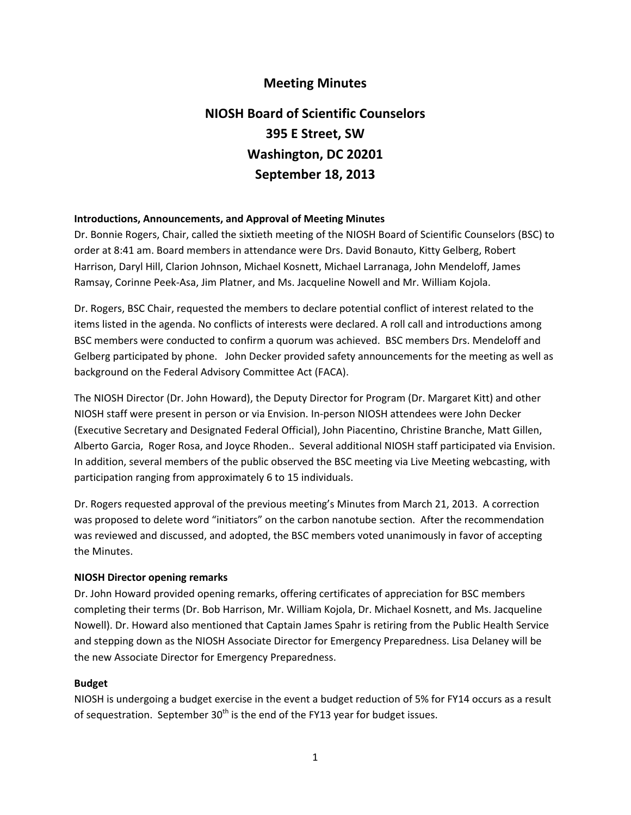# **Meeting Minutes**

# **NIOSH Board of Scientific Counselors 395 E Street, SW Washington, DC 20201 September 18, 2013**

#### **Introductions, Announcements, and Approval of Meeting Minutes**

 Dr. Bonnie Rogers, Chair, called the sixtieth meeting of the NIOSH Board of Scientific Counselors (BSC) to order at 8:41 am. Board members in attendance were Drs. David Bonauto, Kitty Gelberg, Robert Harrison, Daryl Hill, Clarion Johnson, Michael Kosnett, Michael Larranaga, John Mendeloff, James Ramsay, Corinne Peek‐Asa, Jim Platner, and Ms. Jacqueline Nowell and Mr. William Kojola.

 Dr. Rogers, BSC Chair, requested the members to declare potential conflict of interest related to the items listed in the agenda. No conflicts of interests were declared. A roll call and introductions among BSC members were conducted to confirm a quorum was achieved. BSC members Drs. Mendeloff and Gelberg participated by phone. John Decker provided safety announcements for the meeting as well as background on the Federal Advisory Committee Act (FACA).

 The NIOSH Director (Dr. John Howard), the Deputy Director for Program (Dr. Margaret Kitt) and other NIOSH staff were present in person or via Envision. In‐person NIOSH attendees were John Decker (Executive Secretary and Designated Federal Official), John Piacentino, Christine Branche, Matt Gillen, Alberto Garcia, Roger Rosa, and Joyce Rhoden.. Several additional NIOSH staff participated via Envision. In addition, several members of the public observed the BSC meeting via Live Meeting webcasting, with participation ranging from approximately 6 to 15 individuals.

 Dr. Rogers requested approval of the previous meeting's Minutes from March 21, 2013. A correction was proposed to delete word "initiators" on the carbon nanotube section. After the recommendation was reviewed and discussed, and adopted, the BSC members voted unanimously in favor of accepting the Minutes.

#### **NIOSH Director opening remarks**

 Dr. John Howard provided opening remarks, offering certificates of appreciation for BSC members completing their terms (Dr. Bob Harrison, Mr. William Kojola, Dr. Michael Kosnett, and Ms. Jacqueline Nowell). Dr. Howard also mentioned that Captain James Spahr is retiring from the Public Health Service and stepping down as the NIOSH Associate Director for Emergency Preparedness. Lisa Delaney will be the new Associate Director for Emergency Preparedness.

#### **Budget**

 NIOSH is undergoing a budget exercise in the event a budget reduction of 5% for FY14 occurs as a result of sequestration. September 30<sup>th</sup> is the end of the FY13 year for budget issues.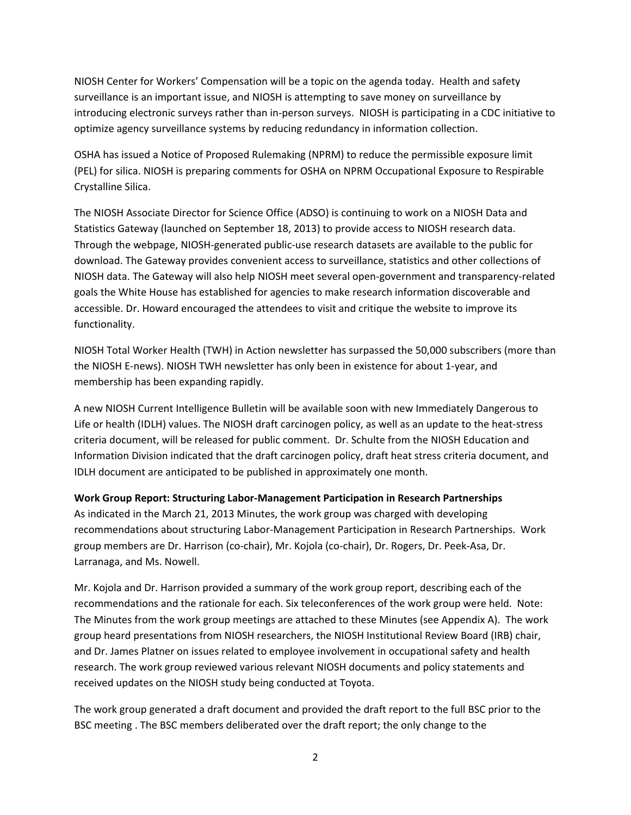NIOSH Center for Workers' Compensation will be a topic on the agenda today. Health and safety surveillance is an important issue, and NIOSH is attempting to save money on surveillance by introducing electronic surveys rather than in‐person surveys. NIOSH is participating in a CDC initiative to optimize agency surveillance systems by reducing redundancy in information collection.

 OSHA has issued a Notice of Proposed Rulemaking (NPRM) to reduce the permissible exposure limit (PEL) for silica. NIOSH is preparing comments for OSHA on NPRM Occupational Exposure to Respirable Crystalline Silica.

 The NIOSH Associate Director for Science Office (ADSO) is continuing to work on a NIOSH Data and Statistics Gateway (launched on September 18, 2013) to provide access to NIOSH research data. Through the webpage, NIOSH‐generated public‐use research datasets are available to the public for download. The Gateway provides convenient access to surveillance, statistics and other collections of NIOSH data. The Gateway will also help NIOSH meet several open‐government and transparency‐related goals the White House has established for agencies to make research information discoverable and accessible. Dr. Howard encouraged the attendees to visit and critique the website to improve its functionality.

 NIOSH Total Worker Health (TWH) in Action newsletter has surpassed the 50,000 subscribers (more than the NIOSH E‐news). NIOSH TWH newsletter has only been in existence for about 1‐year, and membership has been expanding rapidly.

 A new NIOSH Current Intelligence Bulletin will be available soon with new Immediately Dangerous to Life or health (IDLH) values. The NIOSH draft carcinogen policy, as well as an update to the heat‐stress criteria document, will be released for public comment. Dr. Schulte from the NIOSH Education and Information Division indicated that the draft carcinogen policy, draft heat stress criteria document, and IDLH document are anticipated to be published in approximately one month.

#### **Work Group Report: Structuring Labor‐Management Participation in Research Partnerships**

 As indicated in the March 21, 2013 Minutes, the work group was charged with developing recommendations about structuring Labor‐Management Participation in Research Partnerships. Work group members are Dr. Harrison (co‐chair), Mr. Kojola (co‐chair), Dr. Rogers, Dr. Peek‐Asa, Dr. Larranaga, and Ms. Nowell.

 Mr. Kojola and Dr. Harrison provided a summary of the work group report, describing each of the recommendations and the rationale for each. Six teleconferences of the work group were held. Note: The Minutes from the work group meetings are attached to these Minutes (see Appendix A). The work group heard presentations from NIOSH researchers, the NIOSH Institutional Review Board (IRB) chair, and Dr. James Platner on issues related to employee involvement in occupational safety and health research. The work group reviewed various relevant NIOSH documents and policy statements and received updates on the NIOSH study being conducted at Toyota.

 The work group generated a draft document and provided the draft report to the full BSC prior to the BSC meeting . The BSC members deliberated over the draft report; the only change to the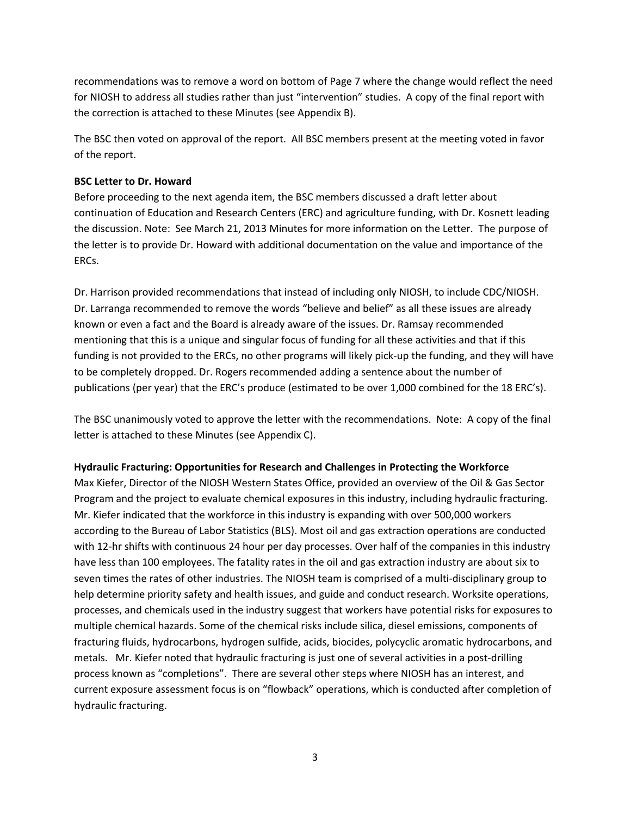recommendations was to remove a word on bottom of Page 7 where the change would reflect the need for NIOSH to address all studies rather than just "intervention" studies. A copy of the final report with the correction is attached to these Minutes (see Appendix B).

 The BSC then voted on approval of the report. All BSC members present at the meeting voted in favor of the report.

#### **BSC Letter to Dr. Howard**

 Before proceeding to the next agenda item, the BSC members discussed a draft letter about continuation of Education and Research Centers (ERC) and agriculture funding, with Dr. Kosnett leading the discussion. Note: See March 21, 2013 Minutes for more information on the Letter. The purpose of the letter is to provide Dr. Howard with additional documentation on the value and importance of the ERCs.

 Dr. Harrison provided recommendations that instead of including only NIOSH, to include CDC/NIOSH. Dr. Larranga recommended to remove the words "believe and belief" as all these issues are already known or even a fact and the Board is already aware of the issues. Dr. Ramsay recommended mentioning that this is a unique and singular focus of funding for all these activities and that if this funding is not provided to the ERCs, no other programs will likely pick‐up the funding, and they will have to be completely dropped. Dr. Rogers recommended adding a sentence about the number of publications (per year) that the ERC's produce (estimated to be over 1,000 combined for the 18 ERC's).

 The BSC unanimously voted to approve the letter with the recommendations. Note: A copy of the final letter is attached to these Minutes (see Appendix C).

#### **Hydraulic Fracturing: Opportunities for Research and Challenges in Protecting the Workforce**

 Max Kiefer, Director of the NIOSH Western States Office, provided an overview of the Oil & Gas Sector Program and the project to evaluate chemical exposures in this industry, including hydraulic fracturing. Mr. Kiefer indicated that the workforce in this industry is expanding with over 500,000 workers according to the Bureau of Labor Statistics (BLS). Most oil and gas extraction operations are conducted with 12‐hr shifts with continuous 24 hour per day processes. Over half of the companies in this industry have less than 100 employees. The fatality rates in the oil and gas extraction industry are about six to seven times the rates of other industries. The NIOSH team is comprised of a multi‐disciplinary group to help determine priority safety and health issues, and guide and conduct research. Worksite operations, processes, and chemicals used in the industry suggest that workers have potential risks for exposures to multiple chemical hazards. Some of the chemical risks include silica, diesel emissions, components of fracturing fluids, hydrocarbons, hydrogen sulfide, acids, biocides, polycyclic aromatic hydrocarbons, and metals. Mr. Kiefer noted that hydraulic fracturing is just one of several activities in a post‐drilling process known as "completions". There are several other steps where NIOSH has an interest, and current exposure assessment focus is on "flowback" operations, which is conducted after completion of hydraulic fracturing.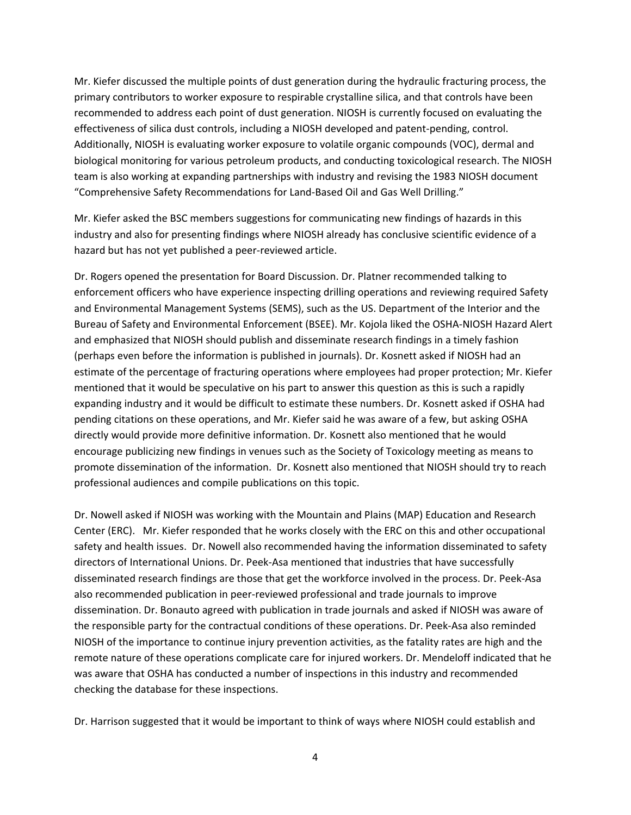Mr. Kiefer discussed the multiple points of dust generation during the hydraulic fracturing process, the primary contributors to worker exposure to respirable crystalline silica, and that controls have been recommended to address each point of dust generation. NIOSH is currently focused on evaluating the effectiveness of silica dust controls, including a NIOSH developed and patent‐pending, control. Additionally, NIOSH is evaluating worker exposure to volatile organic compounds (VOC), dermal and biological monitoring for various petroleum products, and conducting toxicological research. The NIOSH team is also working at expanding partnerships with industry and revising the 1983 NIOSH document "Comprehensive Safety Recommendations for Land‐Based Oil and Gas Well Drilling."

 Mr. Kiefer asked the BSC members suggestions for communicating new findings of hazards in this industry and also for presenting findings where NIOSH already has conclusive scientific evidence of a hazard but has not yet published a peer‐reviewed article.

 Dr. Rogers opened the presentation for Board Discussion. Dr. Platner recommended talking to enforcement officers who have experience inspecting drilling operations and reviewing required Safety and Environmental Management Systems (SEMS), such as the US. Department of the Interior and the Bureau of Safety and Environmental Enforcement (BSEE). Mr. Kojola liked the OSHA‐NIOSH Hazard Alert and emphasized that NIOSH should publish and disseminate research findings in a timely fashion (perhaps even before the information is published in journals). Dr. Kosnett asked if NIOSH had an estimate of the percentage of fracturing operations where employees had proper protection; Mr. Kiefer mentioned that it would be speculative on his part to answer this question as this is such a rapidly expanding industry and it would be difficult to estimate these numbers. Dr. Kosnett asked if OSHA had pending citations on these operations, and Mr. Kiefer said he was aware of a few, but asking OSHA directly would provide more definitive information. Dr. Kosnett also mentioned that he would encourage publicizing new findings in venues such as the Society of Toxicology meeting as means to promote dissemination of the information. Dr. Kosnett also mentioned that NIOSH should try to reach professional audiences and compile publications on this topic.

 Dr. Nowell asked if NIOSH was working with the Mountain and Plains (MAP) Education and Research Center (ERC). Mr. Kiefer responded that he works closely with the ERC on this and other occupational safety and health issues. Dr. Nowell also recommended having the information disseminated to safety directors of International Unions. Dr. Peek‐Asa mentioned that industries that have successfully disseminated research findings are those that get the workforce involved in the process. Dr. Peek‐Asa also recommended publication in peer‐reviewed professional and trade journals to improve dissemination. Dr. Bonauto agreed with publication in trade journals and asked if NIOSH was aware of the responsible party for the contractual conditions of these operations. Dr. Peek‐Asa also reminded NIOSH of the importance to continue injury prevention activities, as the fatality rates are high and the remote nature of these operations complicate care for injured workers. Dr. Mendeloff indicated that he was aware that OSHA has conducted a number of inspections in this industry and recommended checking the database for these inspections.

Dr. Harrison suggested that it would be important to think of ways where NIOSH could establish and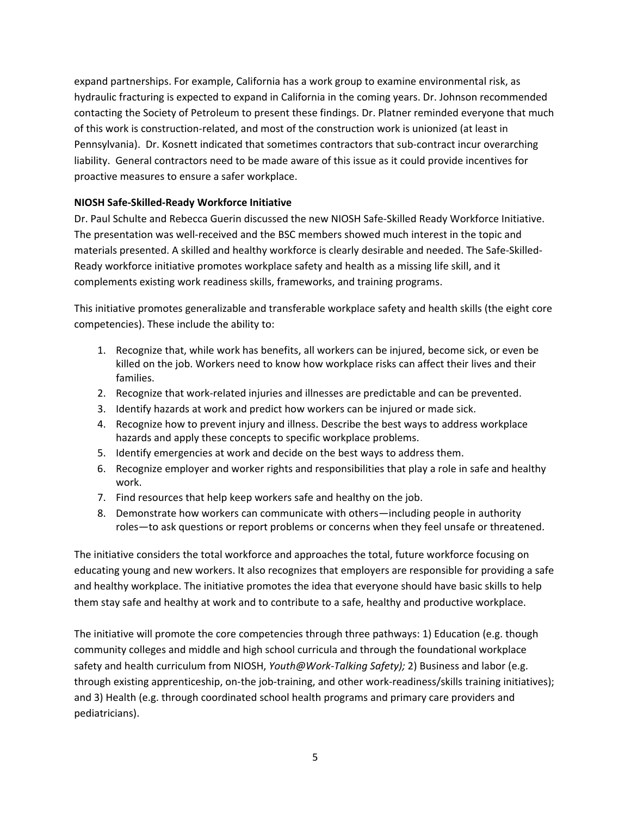expand partnerships. For example, California has a work group to examine environmental risk, as hydraulic fracturing is expected to expand in California in the coming years. Dr. Johnson recommended contacting the Society of Petroleum to present these findings. Dr. Platner reminded everyone that much of this work is construction‐related, and most of the construction work is unionized (at least in Pennsylvania). Dr. Kosnett indicated that sometimes contractors that sub‐contract incur overarching liability. General contractors need to be made aware of this issue as it could provide incentives for proactive measures to ensure a safer workplace.

#### **NIOSH Safe‐Skilled‐Ready Workforce Initiative**

 Dr. Paul Schulte and Rebecca Guerin discussed the new NIOSH Safe‐Skilled Ready Workforce Initiative. The presentation was well‐received and the BSC members showed much interest in the topic and materials presented. A skilled and healthy workforce is clearly desirable and needed. The Safe‐Skilled‐ Ready workforce initiative promotes workplace safety and health as a missing life skill, and it complements existing work readiness skills, frameworks, and training programs.

 This initiative promotes generalizable and transferable workplace safety and health skills (the eight core competencies). These include the ability to:

- 1. Recognize that, while work has benefits, all workers can be injured, become sick, or even be killed on the job. Workers need to know how workplace risks can affect their lives and their families.
- 2. Recognize that work-related injuries and illnesses are predictable and can be prevented.
- 3. Identify hazards at work and predict how workers can be injured or made sick.
- 4. Recognize how to prevent injury and illness. Describe the best ways to address workplace hazards and apply these concepts to specific workplace problems.
- 5. Identify emergencies at work and decide on the best ways to address them.
- 6. Recognize employer and worker rights and responsibilities that play a role in safe and healthy work.
- 7. Find resources that help keep workers safe and healthy on the job.
- 8. Demonstrate how workers can communicate with others—including people in authority roles—to ask questions or report problems or concerns when they feel unsafe or threatened.

 The initiative considers the total workforce and approaches the total, future workforce focusing on educating young and new workers. It also recognizes that employers are responsible for providing a safe and healthy workplace. The initiative promotes the idea that everyone should have basic skills to help them stay safe and healthy at work and to contribute to a safe, healthy and productive workplace.

 The initiative will promote the core competencies through three pathways: 1) Education (e.g. though community colleges and middle and high school curricula and through the foundational workplace  safety and health curriculum from NIOSH, *Youth@Work‐Talking Safety);* 2) Business and labor (e.g. through existing apprenticeship, on‐the job‐training, and other work‐readiness/skills training initiatives); and 3) Health (e.g. through coordinated school health programs and primary care providers and pediatricians).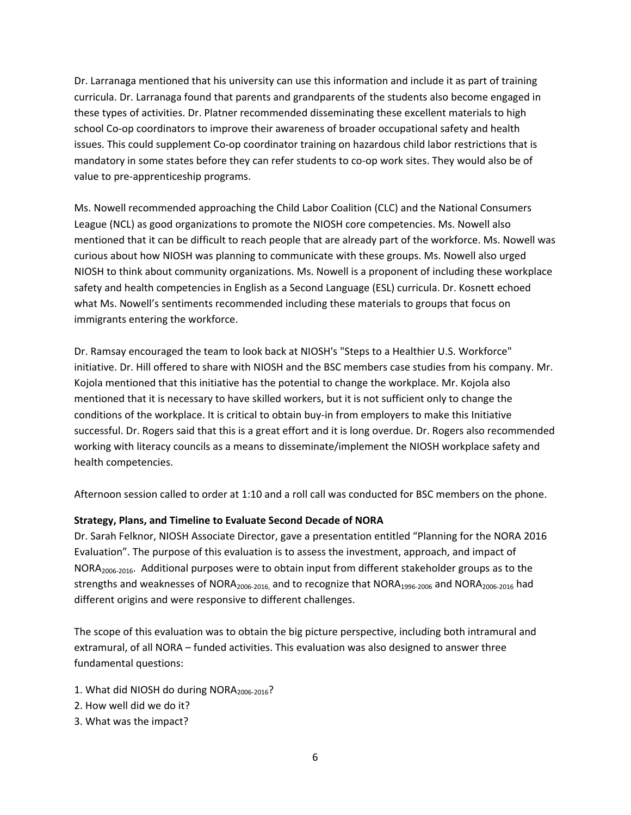Dr. Larranaga mentioned that his university can use this information and include it as part of training curricula. Dr. Larranaga found that parents and grandparents of the students also become engaged in these types of activities. Dr. Platner recommended disseminating these excellent materials to high school Co-op coordinators to improve their awareness of broader occupational safety and health issues. This could supplement Co‐op coordinator training on hazardous child labor restrictions that is mandatory in some states before they can refer students to co‐op work sites. They would also be of value to pre‐apprenticeship programs.

 Ms. Nowell recommended approaching the Child Labor Coalition (CLC) and the National Consumers League (NCL) as good organizations to promote the NIOSH core competencies. Ms. Nowell also mentioned that it can be difficult to reach people that are already part of the workforce. Ms. Nowell was curious about how NIOSH was planning to communicate with these groups. Ms. Nowell also urged NIOSH to think about community organizations. Ms. Nowell is a proponent of including these workplace safety and health competencies in English as a Second Language (ESL) curricula. Dr. Kosnett echoed what Ms. Nowell's sentiments recommended including these materials to groups that focus on immigrants entering the workforce.

 Dr. Ramsay encouraged the team to look back at NIOSH's "Steps to a Healthier U.S. Workforce" initiative. Dr. Hill offered to share with NIOSH and the BSC members case studies from his company. Mr. Kojola mentioned that this initiative has the potential to change the workplace. Mr. Kojola also mentioned that it is necessary to have skilled workers, but it is not sufficient only to change the conditions of the workplace. It is critical to obtain buy‐in from employers to make this Initiative successful. Dr. Rogers said that this is a great effort and it is long overdue. Dr. Rogers also recommended working with literacy councils as a means to disseminate/implement the NIOSH workplace safety and health competencies.

Afternoon session called to order at 1:10 and a roll call was conducted for BSC members on the phone.

#### **Strategy, Plans, and Timeline to Evaluate Second Decade of NORA**

 Dr. Sarah Felknor, NIOSH Associate Director, gave a presentation entitled "Planning for the NORA 2016 Evaluation". The purpose of this evaluation is to assess the investment, approach, and impact of NORA<sub>2006-2016</sub>. Additional purposes were to obtain input from different stakeholder groups as to the strengths and weaknesses of NORA<sub>2006</sub>-<sub>2016</sub>, and to recognize that NORA<sub>1996</sub>-<sub>2006</sub> and NORA<sub>2006</sub>-2016 had different origins and were responsive to different challenges.

 The scope of this evaluation was to obtain the big picture perspective, including both intramural and extramural, of all NORA – funded activities. This evaluation was also designed to answer three fundamental questions:

- 1. What did NIOSH do during NORA<sub>2006-2016</sub>?
- 2. How well did we do it?
- 3. What was the impact?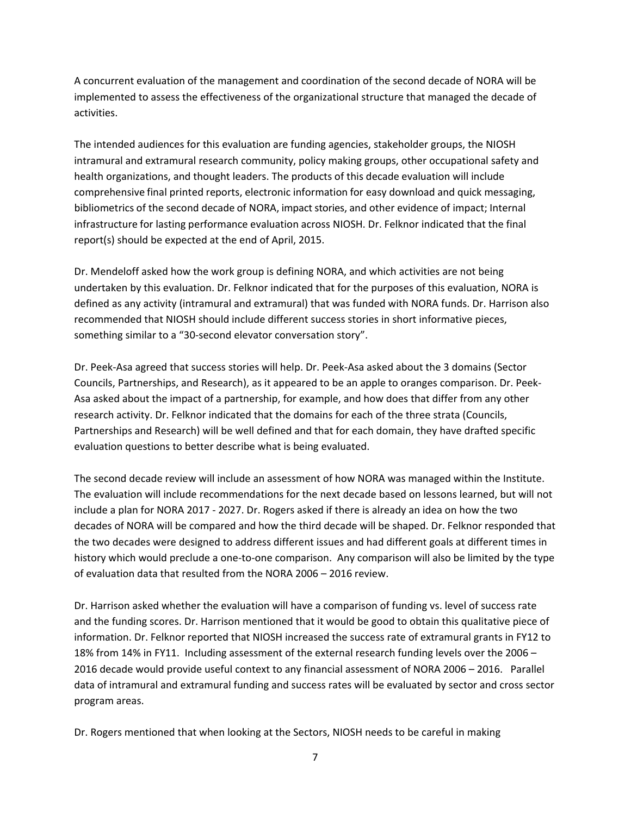A concurrent evaluation of the management and coordination of the second decade of NORA will be implemented to assess the effectiveness of the organizational structure that managed the decade of activities.

 The intended audiences for this evaluation are funding agencies, stakeholder groups, the NIOSH intramural and extramural research community, policy making groups, other occupational safety and health organizations, and thought leaders. The products of this decade evaluation will include comprehensive final printed reports, electronic information for easy download and quick messaging, bibliometrics of the second decade of NORA, impact stories, and other evidence of impact; Internal infrastructure for lasting performance evaluation across NIOSH. Dr. Felknor indicated that the final report(s) should be expected at the end of April, 2015.

 Dr. Mendeloff asked how the work group is defining NORA, and which activities are not being undertaken by this evaluation. Dr. Felknor indicated that for the purposes of this evaluation, NORA is defined as any activity (intramural and extramural) that was funded with NORA funds. Dr. Harrison also recommended that NIOSH should include different success stories in short informative pieces, something similar to a "30‐second elevator conversation story".

 Dr. Peek‐Asa agreed that success stories will help. Dr. Peek‐Asa asked about the 3 domains (Sector Councils, Partnerships, and Research), as it appeared to be an apple to oranges comparison. Dr. Peek‐ Asa asked about the impact of a partnership, for example, and how does that differ from any other research activity. Dr. Felknor indicated that the domains for each of the three strata (Councils, Partnerships and Research) will be well defined and that for each domain, they have drafted specific evaluation questions to better describe what is being evaluated.

 The second decade review will include an assessment of how NORA was managed within the Institute. The evaluation will include recommendations for the next decade based on lessons learned, but will not include a plan for NORA 2017 ‐ 2027. Dr. Rogers asked if there is already an idea on how the two decades of NORA will be compared and how the third decade will be shaped. Dr. Felknor responded that the two decades were designed to address different issues and had different goals at different times in history which would preclude a one‐to‐one comparison. Any comparison will also be limited by the type of evaluation data that resulted from the NORA 2006 – 2016 review.

 Dr. Harrison asked whether the evaluation will have a comparison of funding vs. level of success rate and the funding scores. Dr. Harrison mentioned that it would be good to obtain this qualitative piece of information. Dr. Felknor reported that NIOSH increased the success rate of extramural grants in FY12 to 18% from 14% in FY11. Including assessment of the external research funding levels over the 2006 – 2016 decade would provide useful context to any financial assessment of NORA 2006 – 2016. Parallel data of intramural and extramural funding and success rates will be evaluated by sector and cross sector program areas.

Dr. Rogers mentioned that when looking at the Sectors, NIOSH needs to be careful in making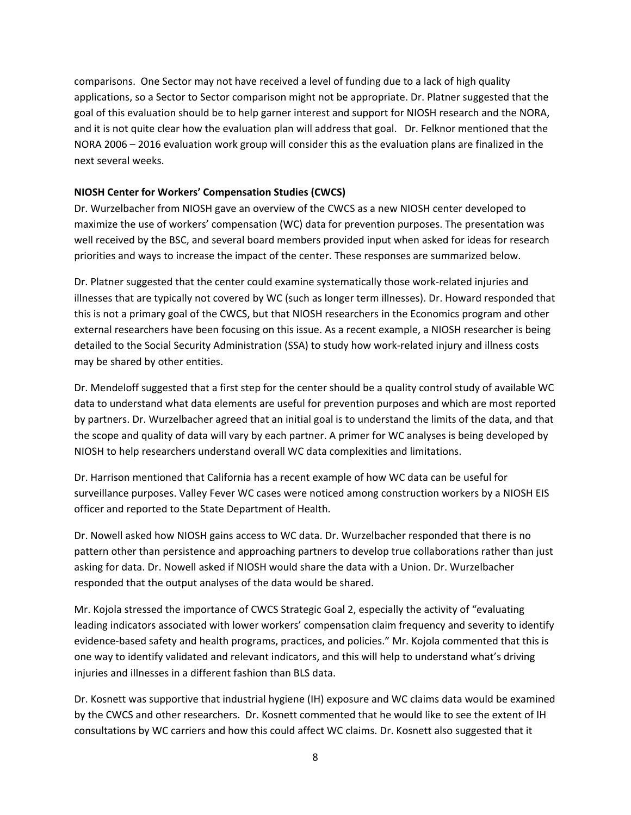comparisons. One Sector may not have received a level of funding due to a lack of high quality applications, so a Sector to Sector comparison might not be appropriate. Dr. Platner suggested that the goal of this evaluation should be to help garner interest and support for NIOSH research and the NORA, and it is not quite clear how the evaluation plan will address that goal. Dr. Felknor mentioned that the NORA 2006 – 2016 evaluation work group will consider this as the evaluation plans are finalized in the next several weeks.

#### **NIOSH Center for Workers' Compensation Studies (CWCS)**

 Dr. Wurzelbacher from NIOSH gave an overview of the CWCS as a new NIOSH center developed to maximize the use of workers' compensation (WC) data for prevention purposes. The presentation was well received by the BSC, and several board members provided input when asked for ideas for research priorities and ways to increase the impact of the center. These responses are summarized below.

 Dr. Platner suggested that the center could examine systematically those work‐related injuries and illnesses that are typically not covered by WC (such as longer term illnesses). Dr. Howard responded that this is not a primary goal of the CWCS, but that NIOSH researchers in the Economics program and other external researchers have been focusing on this issue. As a recent example, a NIOSH researcher is being detailed to the Social Security Administration (SSA) to study how work‐related injury and illness costs may be shared by other entities.

 Dr. Mendeloff suggested that a first step for the center should be a quality control study of available WC data to understand what data elements are useful for prevention purposes and which are most reported by partners. Dr. Wurzelbacher agreed that an initial goal is to understand the limits of the data, and that the scope and quality of data will vary by each partner. A primer for WC analyses is being developed by NIOSH to help researchers understand overall WC data complexities and limitations.

 Dr. Harrison mentioned that California has a recent example of how WC data can be useful for surveillance purposes. Valley Fever WC cases were noticed among construction workers by a NIOSH EIS officer and reported to the State Department of Health.

 Dr. Nowell asked how NIOSH gains access to WC data. Dr. Wurzelbacher responded that there is no pattern other than persistence and approaching partners to develop true collaborations rather than just asking for data. Dr. Nowell asked if NIOSH would share the data with a Union. Dr. Wurzelbacher responded that the output analyses of the data would be shared.

 Mr. Kojola stressed the importance of CWCS Strategic Goal 2, especially the activity of "evaluating leading indicators associated with lower workers' compensation claim frequency and severity to identify evidence‐based safety and health programs, practices, and policies." Mr. Kojola commented that this is one way to identify validated and relevant indicators, and this will help to understand what's driving injuries and illnesses in a different fashion than BLS data.

 Dr. Kosnett was supportive that industrial hygiene (IH) exposure and WC claims data would be examined by the CWCS and other researchers. Dr. Kosnett commented that he would like to see the extent of IH consultations by WC carriers and how this could affect WC claims. Dr. Kosnett also suggested that it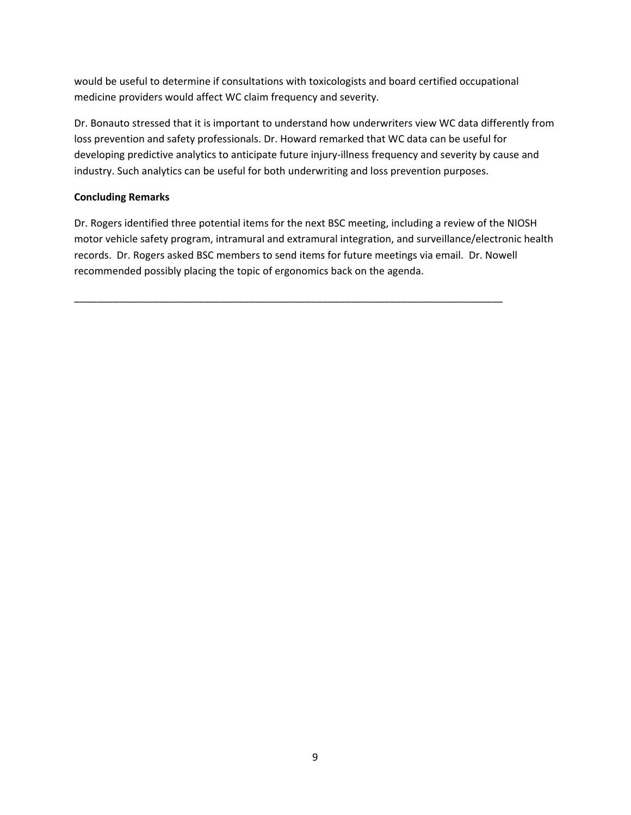would be useful to determine if consultations with toxicologists and board certified occupational medicine providers would affect WC claim frequency and severity.

 Dr. Bonauto stressed that it is important to understand how underwriters view WC data differently from loss prevention and safety professionals. Dr. Howard remarked that WC data can be useful for developing predictive analytics to anticipate future injury‐illness frequency and severity by cause and industry. Such analytics can be useful for both underwriting and loss prevention purposes.

#### **Concluding Remarks**

 Dr. Rogers identified three potential items for the next BSC meeting, including a review of the NIOSH motor vehicle safety program, intramural and extramural integration, and surveillance/electronic health records. Dr. Rogers asked BSC members to send items for future meetings via email. Dr. Nowell recommended possibly placing the topic of ergonomics back on the agenda.

\_\_\_\_\_\_\_\_\_\_\_\_\_\_\_\_\_\_\_\_\_\_\_\_\_\_\_\_\_\_\_\_\_\_\_\_\_\_\_\_\_\_\_\_\_\_\_\_\_\_\_\_\_\_\_\_\_\_\_\_\_\_\_\_\_\_\_\_\_\_\_\_\_\_\_\_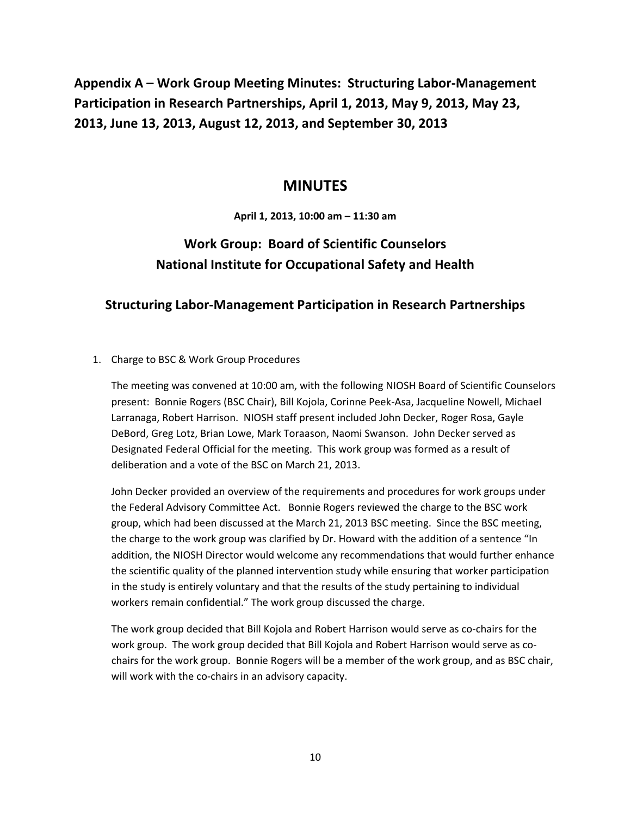**Appendix A – Work Group Meeting Minutes: Structuring Labor‐Management Participation in Research Partnerships, April 1, 2013, May 9, 2013, May 23, 2013, June 13, 2013, August 12, 2013, and September 30, 2013**

#### **MINUTES**

 **April 1, 2013, 10:00 am – 11:30 am**

# **Work Group: Board of Scientific Counselors National Institute for Occupational Safety and Health**

# **Structuring Labor‐Management Participation in Research Partnerships**

#### 1. Charge to BSC & Work Group Procedures

 The meeting was convened at 10:00 am, with the following NIOSH Board of Scientific Counselors present: Bonnie Rogers (BSC Chair), Bill Kojola, Corinne Peek‐Asa, Jacqueline Nowell, Michael Larranaga, Robert Harrison. NIOSH staff present included John Decker, Roger Rosa, Gayle DeBord, Greg Lotz, Brian Lowe, Mark Toraason, Naomi Swanson. John Decker served as Designated Federal Official for the meeting. This work group was formed as a result of deliberation and a vote of the BSC on March 21, 2013.

 John Decker provided an overview of the requirements and procedures for work groups under the Federal Advisory Committee Act. Bonnie Rogers reviewed the charge to the BSC work group, which had been discussed at the March 21, 2013 BSC meeting. Since the BSC meeting, the charge to the work group was clarified by Dr. Howard with the addition of a sentence "In addition, the NIOSH Director would welcome any recommendations that would further enhance the scientific quality of the planned intervention study while ensuring that worker participation in the study is entirely voluntary and that the results of the study pertaining to individual workers remain confidential." The work group discussed the charge.

 The work group decided that Bill Kojola and Robert Harrison would serve as co‐chairs for the work group. The work group decided that Bill Kojola and Robert Harrison would serve as co‐ chairs for the work group. Bonnie Rogers will be a member of the work group, and as BSC chair, will work with the co‐chairs in an advisory capacity.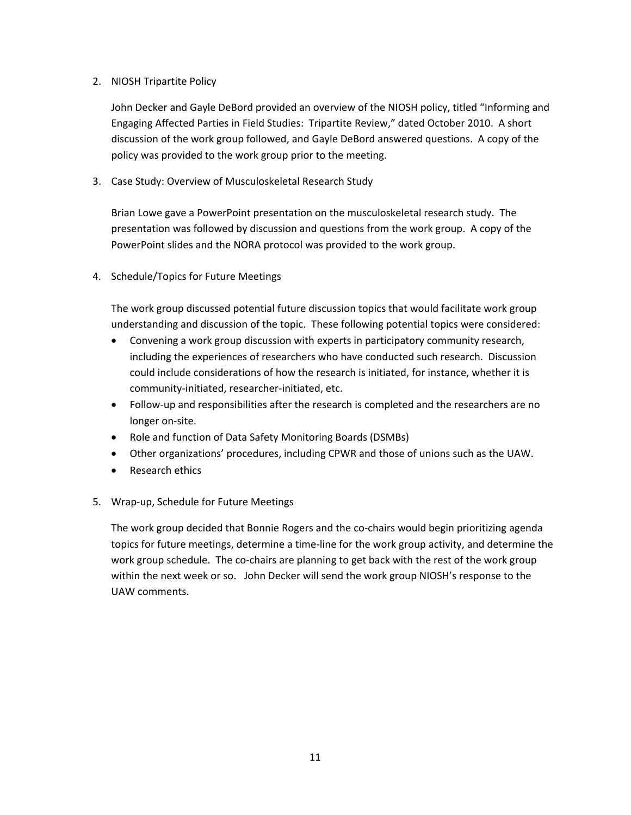#### 2. NIOSH Tripartite Policy

 John Decker and Gayle DeBord provided an overview of the NIOSH policy, titled "Informing and Engaging Affected Parties in Field Studies: Tripartite Review," dated October 2010. A short discussion of the work group followed, and Gayle DeBord answered questions. A copy of the policy was provided to the work group prior to the meeting.

3. Case Study: Overview of Musculoskeletal Research Study

 Brian Lowe gave a PowerPoint presentation on the musculoskeletal research study. The presentation was followed by discussion and questions from the work group. A copy of the PowerPoint slides and the NORA protocol was provided to the work group.

4. Schedule/Topics for Future Meetings

 The work group discussed potential future discussion topics that would facilitate work group understanding and discussion of the topic. These following potential topics were considered:

- Convening a work group discussion with experts in participatory community research, including the experiences of researchers who have conducted such research. Discussion could include considerations of how the research is initiated, for instance, whether it is community‐initiated, researcher‐initiated, etc.
- Follow-up and responsibilities after the research is completed and the researchers are no longer on‐site.
- Role and function of Data Safety Monitoring Boards (DSMBs)
- Other organizations' procedures, including CPWR and those of unions such as the UAW.
- Research ethics
- 5. Wrap‐up, Schedule for Future Meetings

 The work group decided that Bonnie Rogers and the co‐chairs would begin prioritizing agenda topics for future meetings, determine a time‐line for the work group activity, and determine the work group schedule. The co-chairs are planning to get back with the rest of the work group within the next week or so. John Decker will send the work group NIOSH's response to the UAW comments.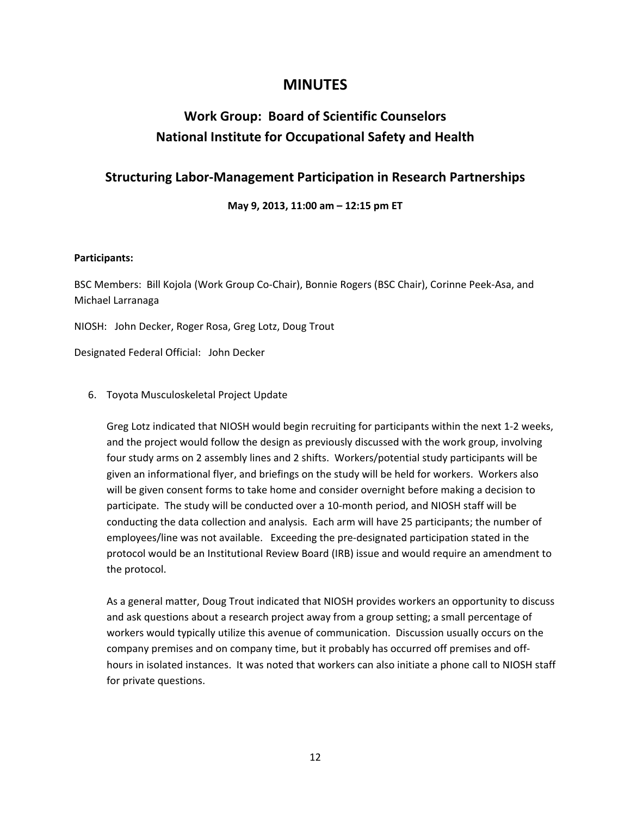# **MINUTES**

# **Work Group: Board of Scientific Counselors National Institute for Occupational Safety and Health**

# **Structuring Labor‐Management Participation in Research Partnerships**

 **May 9, 2013, 11:00 am – 12:15 pm ET**

#### **Participants:**

 BSC Members: Bill Kojola (Work Group Co‐Chair), Bonnie Rogers (BSC Chair), Corinne Peek‐Asa, and Michael Larranaga

NIOSH: John Decker, Roger Rosa, Greg Lotz, Doug Trout

Designated Federal Official: John Decker

6. Toyota Musculoskeletal Project Update

 Greg Lotz indicated that NIOSH would begin recruiting for participants within the next 1‐2 weeks, and the project would follow the design as previously discussed with the work group, involving four study arms on 2 assembly lines and 2 shifts. Workers/potential study participants will be given an informational flyer, and briefings on the study will be held for workers. Workers also will be given consent forms to take home and consider overnight before making a decision to participate. The study will be conducted over a 10‐month period, and NIOSH staff will be conducting the data collection and analysis. Each arm will have 25 participants; the number of employees/line was not available. Exceeding the pre‐designated participation stated in the protocol would be an Institutional Review Board (IRB) issue and would require an amendment to the protocol.

 As a general matter, Doug Trout indicated that NIOSH provides workers an opportunity to discuss and ask questions about a research project away from a group setting; a small percentage of workers would typically utilize this avenue of communication. Discussion usually occurs on the company premises and on company time, but it probably has occurred off premises and off‐ hours in isolated instances. It was noted that workers can also initiate a phone call to NIOSH staff for private questions.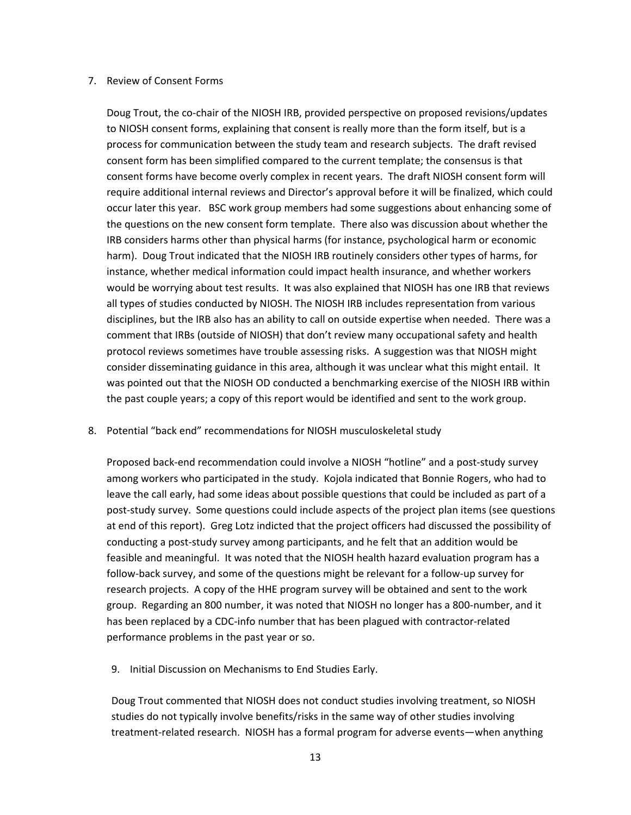#### 7. Review of Consent Forms

 Doug Trout, the co‐chair of the NIOSH IRB, provided perspective on proposed revisions/updates to NIOSH consent forms, explaining that consent is really more than the form itself, but is a process for communication between the study team and research subjects. The draft revised consent form has been simplified compared to the current template; the consensus is that consent forms have become overly complex in recent years. The draft NIOSH consent form will require additional internal reviews and Director's approval before it will be finalized, which could occur later this year. BSC work group members had some suggestions about enhancing some of the questions on the new consent form template. There also was discussion about whether the IRB considers harms other than physical harms (for instance, psychological harm or economic harm). Doug Trout indicated that the NIOSH IRB routinely considers other types of harms, for instance, whether medical information could impact health insurance, and whether workers would be worrying about test results. It was also explained that NIOSH has one IRB that reviews all types of studies conducted by NIOSH. The NIOSH IRB includes representation from various disciplines, but the IRB also has an ability to call on outside expertise when needed. There was a comment that IRBs (outside of NIOSH) that don't review many occupational safety and health protocol reviews sometimes have trouble assessing risks. A suggestion was that NIOSH might consider disseminating guidance in this area, although it was unclear what this might entail. It was pointed out that the NIOSH OD conducted a benchmarking exercise of the NIOSH IRB within the past couple years; a copy of this report would be identified and sent to the work group.

#### 8. Potential "back end" recommendations for NIOSH musculoskeletal study

 Proposed back‐end recommendation could involve a NIOSH "hotline" and a post‐study survey among workers who participated in the study. Kojola indicated that Bonnie Rogers, who had to leave the call early, had some ideas about possible questions that could be included as part of a post‐study survey. Some questions could include aspects of the project plan items (see questions at end of this report). Greg Lotz indicted that the project officers had discussed the possibility of conducting a post‐study survey among participants, and he felt that an addition would be feasible and meaningful. It was noted that the NIOSH health hazard evaluation program has a follow‐back survey, and some of the questions might be relevant for a follow‐up survey for research projects. A copy of the HHE program survey will be obtained and sent to the work group. Regarding an 800 number, it was noted that NIOSH no longer has a 800‐number, and it has been replaced by a CDC‐info number that has been plagued with contractor‐related performance problems in the past year or so.

9. Initial Discussion on Mechanisms to End Studies Early.

 Doug Trout commented that NIOSH does not conduct studies involving treatment, so NIOSH studies do not typically involve benefits/risks in the same way of other studies involving treatment‐related research. NIOSH has a formal program for adverse events—when anything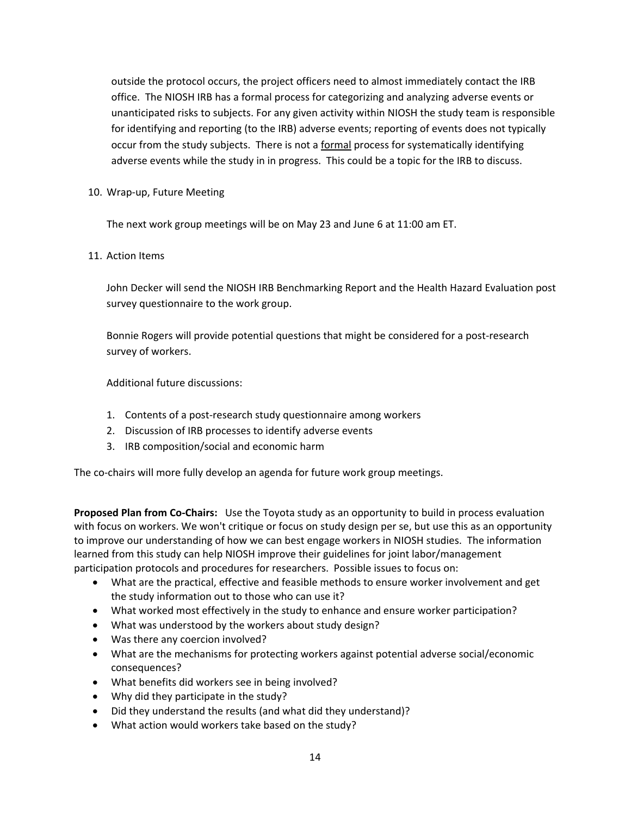outside the protocol occurs, the project officers need to almost immediately contact the IRB office. The NIOSH IRB has a formal process for categorizing and analyzing adverse events or unanticipated risks to subjects. For any given activity within NIOSH the study team is responsible for identifying and reporting (to the IRB) adverse events; reporting of events does not typically occur from the study subjects. There is not a formal process for systematically identifying adverse events while the study in in progress. This could be a topic for the IRB to discuss.

#### 10. Wrap‐up, Future Meeting

The next work group meetings will be on May 23 and June 6 at 11:00 am ET.

#### 11. Action Items

 John Decker will send the NIOSH IRB Benchmarking Report and the Health Hazard Evaluation post survey questionnaire to the work group.

 Bonnie Rogers will provide potential questions that might be considered for a post‐research survey of workers.

Additional future discussions:

- 1. Contents of a post‐research study questionnaire among workers
- 2. Discussion of IRB processes to identify adverse events
- 3. IRB composition/social and economic harm

The co-chairs will more fully develop an agenda for future work group meetings.

 **Proposed Plan from Co‐Chairs:** Use the Toyota study as an opportunity to build in process evaluation with focus on workers. We won't critique or focus on study design per se, but use this as an opportunity to improve our understanding of how we can best engage workers in NIOSH studies. The information learned from this study can help NIOSH improve their guidelines for joint labor/management participation protocols and procedures for researchers. Possible issues to focus on:

- What are the practical, effective and feasible methods to ensure worker involvement and get the study information out to those who can use it?
- What worked most effectively in the study to enhance and ensure worker participation?
- What was understood by the workers about study design?
- Was there any coercion involved?
- What are the mechanisms for protecting workers against potential adverse social/economic consequences?
- What benefits did workers see in being involved?
- Why did they participate in the study?
- Did they understand the results (and what did they understand)?
- What action would workers take based on the study?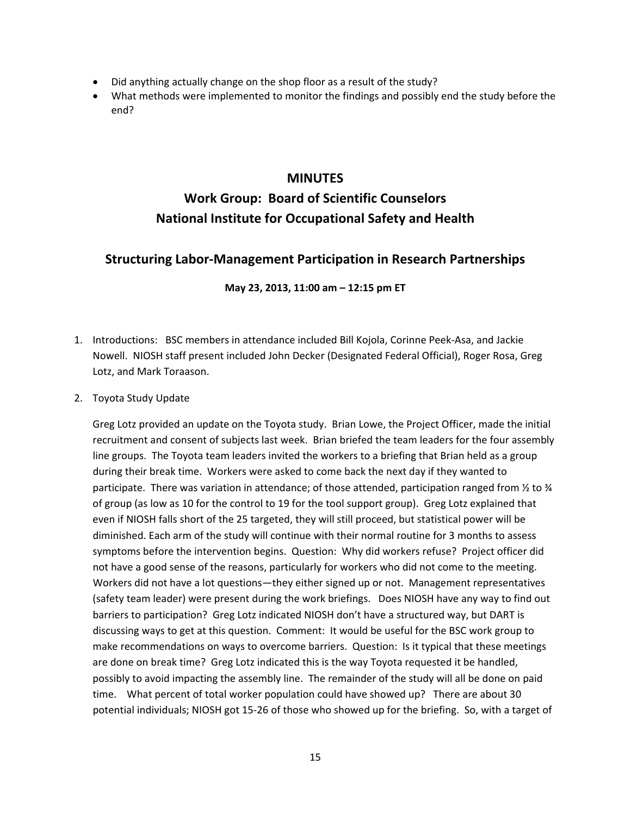- Did anything actually change on the shop floor as a result of the study?
- What methods were implemented to monitor the findings and possibly end the study before the end?

## **MINUTES**

# **Work Group: Board of Scientific Counselors National Institute for Occupational Safety and Health**

# **Structuring Labor‐Management Participation in Research Partnerships**

#### **May 23, 2013, 11:00 am – 12:15 pm ET**

- 1. Introductions: BSC members in attendance included Bill Kojola, Corinne Peek-Asa, and Jackie Nowell. NIOSH staff present included John Decker (Designated Federal Official), Roger Rosa, Greg Lotz, and Mark Toraason.
- 2. Toyota Study Update

 Greg Lotz provided an update on the Toyota study. Brian Lowe, the Project Officer, made the initial recruitment and consent of subjects last week. Brian briefed the team leaders for the four assembly line groups. The Toyota team leaders invited the workers to a briefing that Brian held as a group during their break time. Workers were asked to come back the next day if they wanted to participate. There was variation in attendance; of those attended, participation ranged from ½ to ¾ of group (as low as 10 for the control to 19 for the tool support group). Greg Lotz explained that even if NIOSH falls short of the 25 targeted, they will still proceed, but statistical power will be diminished. Each arm of the study will continue with their normal routine for 3 months to assess symptoms before the intervention begins. Question: Why did workers refuse? Project officer did not have a good sense of the reasons, particularly for workers who did not come to the meeting. Workers did not have a lot questions—they either signed up or not. Management representatives (safety team leader) were present during the work briefings. Does NIOSH have any way to find out barriers to participation? Greg Lotz indicated NIOSH don't have a structured way, but DART is discussing ways to get at this question. Comment: It would be useful for the BSC work group to make recommendations on ways to overcome barriers. Question: Is it typical that these meetings are done on break time? Greg Lotz indicated this is the way Toyota requested it be handled, possibly to avoid impacting the assembly line. The remainder of the study will all be done on paid time. What percent of total worker population could have showed up? There are about 30 potential individuals; NIOSH got 15‐26 of those who showed up for the briefing. So, with a target of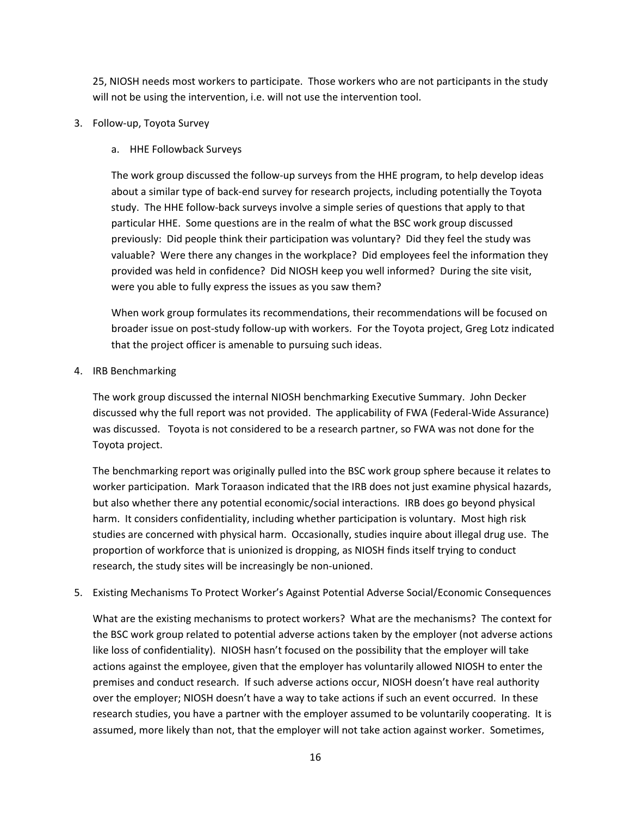25, NIOSH needs most workers to participate. Those workers who are not participants in the study will not be using the intervention, i.e. will not use the intervention tool.

- 3. Follow‐up, Toyota Survey
	- a. HHE Followback Surveys

 The work group discussed the follow‐up surveys from the HHE program, to help develop ideas about a similar type of back‐end survey for research projects, including potentially the Toyota study. The HHE follow‐back surveys involve a simple series of questions that apply to that particular HHE. Some questions are in the realm of what the BSC work group discussed previously: Did people think their participation was voluntary? Did they feel the study was valuable? Were there any changes in the workplace? Did employees feel the information they provided was held in confidence? Did NIOSH keep you well informed? During the site visit, were you able to fully express the issues as you saw them?

 When work group formulates its recommendations, their recommendations will be focused on broader issue on post‐study follow‐up with workers. For the Toyota project, Greg Lotz indicated that the project officer is amenable to pursuing such ideas.

4. IRB Benchmarking

 The work group discussed the internal NIOSH benchmarking Executive Summary. John Decker discussed why the full report was not provided. The applicability of FWA (Federal‐Wide Assurance) was discussed. Toyota is not considered to be a research partner, so FWA was not done for the Toyota project.

 The benchmarking report was originally pulled into the BSC work group sphere because it relates to worker participation. Mark Toraason indicated that the IRB does not just examine physical hazards, but also whether there any potential economic/social interactions. IRB does go beyond physical harm. It considers confidentiality, including whether participation is voluntary. Most high risk studies are concerned with physical harm. Occasionally, studies inquire about illegal drug use. The proportion of workforce that is unionized is dropping, as NIOSH finds itself trying to conduct research, the study sites will be increasingly be non‐unioned.

5. Existing Mechanisms To Protect Worker's Against Potential Adverse Social/Economic Consequences

 What are the existing mechanisms to protect workers? What are the mechanisms? The context for the BSC work group related to potential adverse actions taken by the employer (not adverse actions like loss of confidentiality). NIOSH hasn't focused on the possibility that the employer will take actions against the employee, given that the employer has voluntarily allowed NIOSH to enter the premises and conduct research. If such adverse actions occur, NIOSH doesn't have real authority over the employer; NIOSH doesn't have a way to take actions if such an event occurred. In these research studies, you have a partner with the employer assumed to be voluntarily cooperating. It is assumed, more likely than not, that the employer will not take action against worker. Sometimes,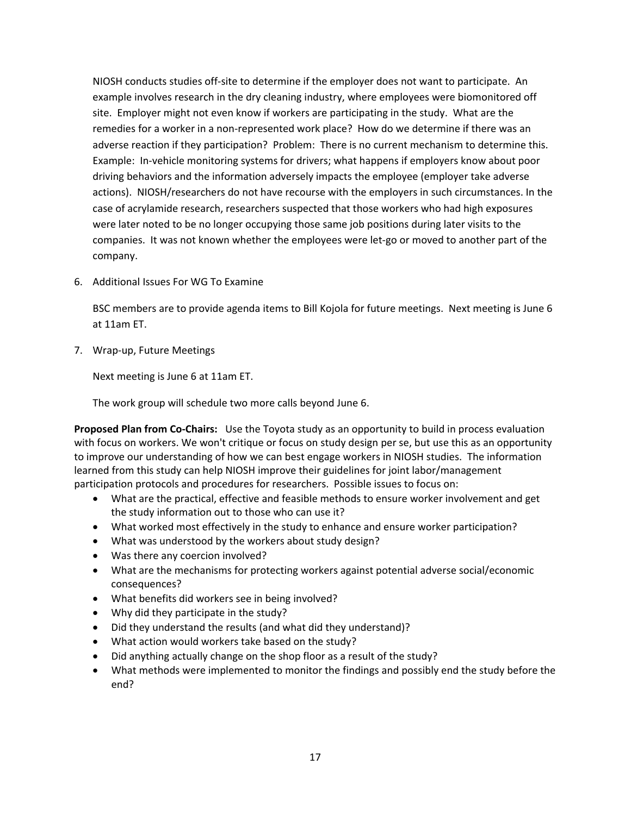NIOSH conducts studies off‐site to determine if the employer does not want to participate. An example involves research in the dry cleaning industry, where employees were biomonitored off site. Employer might not even know if workers are participating in the study. What are the remedies for a worker in a non‐represented work place? How do we determine if there was an adverse reaction if they participation? Problem: There is no current mechanism to determine this. Example: In‐vehicle monitoring systems for drivers; what happens if employers know about poor driving behaviors and the information adversely impacts the employee (employer take adverse actions). NIOSH/researchers do not have recourse with the employers in such circumstances. In the case of acrylamide research, researchers suspected that those workers who had high exposures were later noted to be no longer occupying those same job positions during later visits to the companies. It was not known whether the employees were let‐go or moved to another part of the company.

6. Additional Issues For WG To Examine

 BSC members are to provide agenda items to Bill Kojola for future meetings. Next meeting is June 6 at 11am ET.

7. Wrap‐up, Future Meetings

Next meeting is June 6 at 11am ET.

The work group will schedule two more calls beyond June 6.

 **Proposed Plan from Co‐Chairs:** Use the Toyota study as an opportunity to build in process evaluation with focus on workers. We won't critique or focus on study design per se, but use this as an opportunity to improve our understanding of how we can best engage workers in NIOSH studies. The information learned from this study can help NIOSH improve their guidelines for joint labor/management participation protocols and procedures for researchers. Possible issues to focus on:

- What are the practical, effective and feasible methods to ensure worker involvement and get the study information out to those who can use it?
- What worked most effectively in the study to enhance and ensure worker participation?
- What was understood by the workers about study design?
- Was there any coercion involved?
- What are the mechanisms for protecting workers against potential adverse social/economic consequences?
- What benefits did workers see in being involved?
- Why did they participate in the study?
- Did they understand the results (and what did they understand)?
- What action would workers take based on the study?
- Did anything actually change on the shop floor as a result of the study?
- What methods were implemented to monitor the findings and possibly end the study before the end?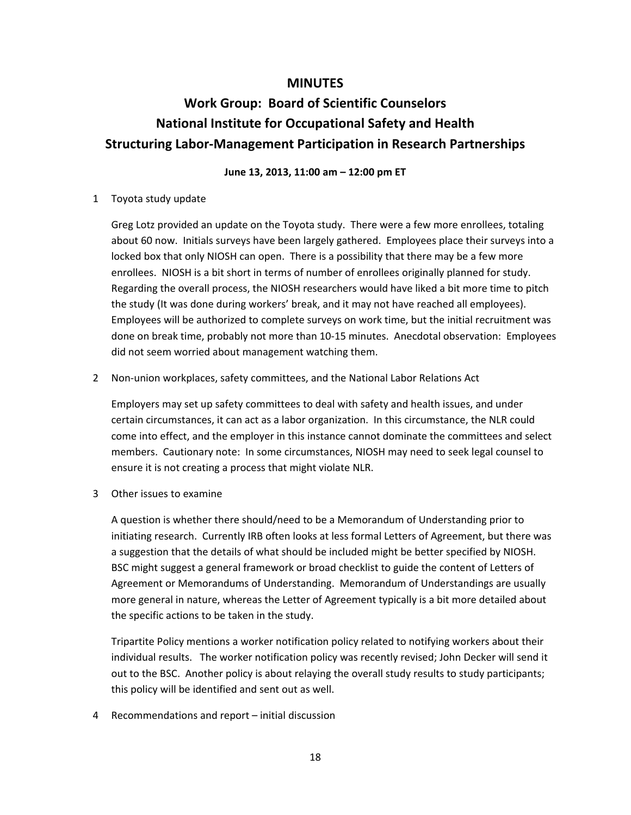#### **MINUTES**

# **Work Group: Board of Scientific Counselors National Institute for Occupational Safety and Health Structuring Labor‐Management Participation in Research Partnerships**

#### **June 13, 2013, 11:00 am – 12:00 pm ET**

#### 1 Toyota study update

 Greg Lotz provided an update on the Toyota study. There were a few more enrollees, totaling about 60 now. Initials surveys have been largely gathered. Employees place their surveys into a locked box that only NIOSH can open. There is a possibility that there may be a few more enrollees. NIOSH is a bit short in terms of number of enrollees originally planned for study. Regarding the overall process, the NIOSH researchers would have liked a bit more time to pitch the study (It was done during workers' break, and it may not have reached all employees). Employees will be authorized to complete surveys on work time, but the initial recruitment was done on break time, probably not more than 10‐15 minutes. Anecdotal observation: Employees did not seem worried about management watching them.

#### 2 Non‐union workplaces, safety committees, and the National Labor Relations Act

 Employers may set up safety committees to deal with safety and health issues, and under certain circumstances, it can act as a labor organization. In this circumstance, the NLR could come into effect, and the employer in this instance cannot dominate the committees and select members. Cautionary note: In some circumstances, NIOSH may need to seek legal counsel to ensure it is not creating a process that might violate NLR.

3 Other issues to examine

 A question is whether there should/need to be a Memorandum of Understanding prior to initiating research. Currently IRB often looks at less formal Letters of Agreement, but there was a suggestion that the details of what should be included might be better specified by NIOSH. BSC might suggest a general framework or broad checklist to guide the content of Letters of Agreement or Memorandums of Understanding. Memorandum of Understandings are usually more general in nature, whereas the Letter of Agreement typically is a bit more detailed about the specific actions to be taken in the study.

 Tripartite Policy mentions a worker notification policy related to notifying workers about their individual results. The worker notification policy was recently revised; John Decker will send it out to the BSC. Another policy is about relaying the overall study results to study participants; this policy will be identified and sent out as well.

4 Recommendations and report – initial discussion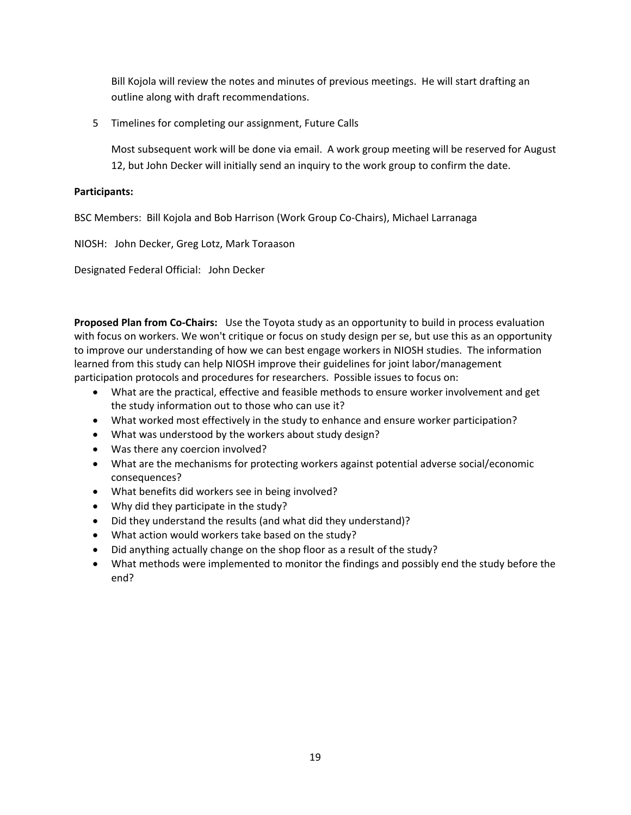Bill Kojola will review the notes and minutes of previous meetings. He will start drafting an outline along with draft recommendations.

5 Timelines for completing our assignment, Future Calls

 Most subsequent work will be done via email. A work group meeting will be reserved for August 12, but John Decker will initially send an inquiry to the work group to confirm the date.

#### **Participants:**

BSC Members: Bill Kojola and Bob Harrison (Work Group Co‐Chairs), Michael Larranaga

NIOSH: John Decker, Greg Lotz, Mark Toraason

Designated Federal Official: John Decker

 **Proposed Plan from Co‐Chairs:** Use the Toyota study as an opportunity to build in process evaluation with focus on workers. We won't critique or focus on study design per se, but use this as an opportunity to improve our understanding of how we can best engage workers in NIOSH studies. The information learned from this study can help NIOSH improve their guidelines for joint labor/management participation protocols and procedures for researchers. Possible issues to focus on:

- What are the practical, effective and feasible methods to ensure worker involvement and get the study information out to those who can use it?
- What worked most effectively in the study to enhance and ensure worker participation?
- What was understood by the workers about study design?
- Was there any coercion involved?
- What are the mechanisms for protecting workers against potential adverse social/economic consequences?
- What benefits did workers see in being involved?
- Why did they participate in the study?
- Did they understand the results (and what did they understand)?
- What action would workers take based on the study?
- Did anything actually change on the shop floor as a result of the study?
- What methods were implemented to monitor the findings and possibly end the study before the end?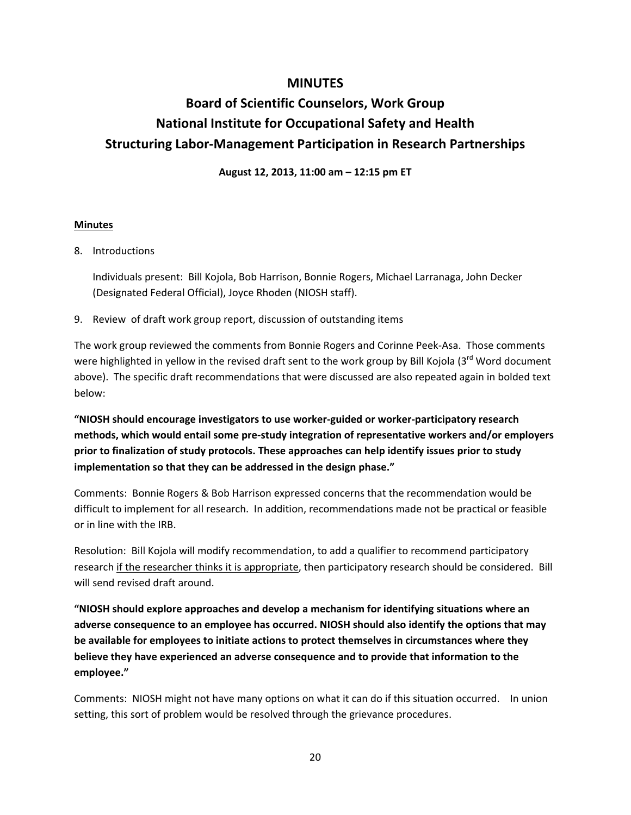## **MINUTES**

# **Board of Scientific Counselors, Work Group National Institute for Occupational Safety and Health Structuring Labor‐Management Participation in Research Partnerships**

 **August 12, 2013, 11:00 am – 12:15 pm ET**

#### **Minutes**

8. Introductions

 Individuals present: Bill Kojola, Bob Harrison, Bonnie Rogers, Michael Larranaga, John Decker (Designated Federal Official), Joyce Rhoden (NIOSH staff).

9. Review of draft work group report, discussion of outstanding items

 The work group reviewed the comments from Bonnie Rogers and Corinne Peek‐Asa. Those comments were highlighted in yellow in the revised draft sent to the work group by Bill Kojola (3<sup>rd</sup> Word document above). The specific draft recommendations that were discussed are also repeated again in bolded text below:

"NIOSH should encourage investigators to use worker-guided or worker-participatory research methods, which would entail some pre-study integration of representative workers and/or employers prior to finalization of study protocols. These approaches can help identify issues prior to study  **implementation so that they can be addressed in the design phase."**

 Comments: Bonnie Rogers & Bob Harrison expressed concerns that the recommendation would be difficult to implement for all research. In addition, recommendations made not be practical or feasible or in line with the IRB.

 Resolution: Bill Kojola will modify recommendation, to add a qualifier to recommend participatory research if the researcher thinks it is appropriate, then participatory research should be considered. Bill will send revised draft around.

 **"NIOSH should explore approaches and develop a mechanism for identifying situations where an** adverse consequence to an employee has occurred. NIOSH should also identify the options that may be available for employees to initiate actions to protect themselves in circumstances where they believe they have experienced an adverse consequence and to provide that information to the **employee."**

 Comments: NIOSH might not have many options on what it can do if this situation occurred. In union setting, this sort of problem would be resolved through the grievance procedures.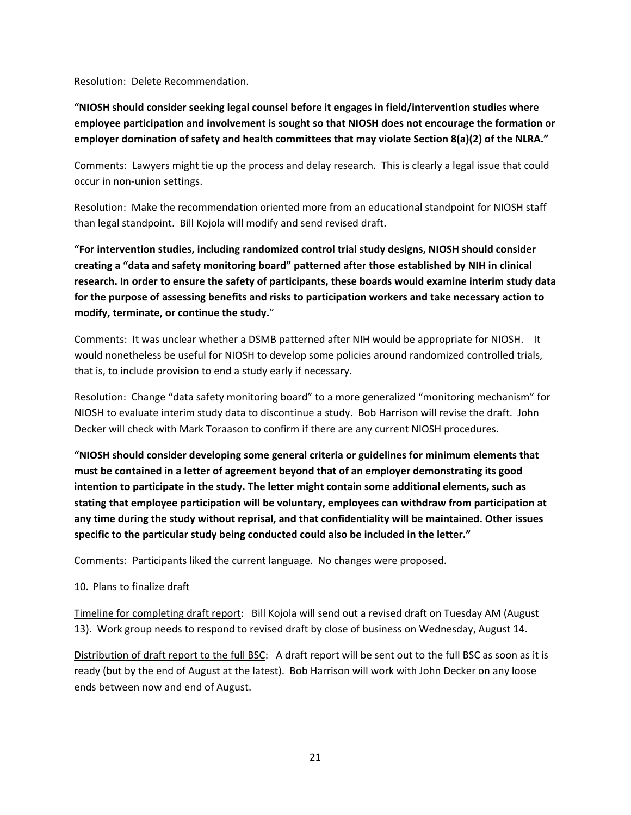Resolution: Delete Recommendation.

"NIOSH should consider seeking legal counsel before it engages in field/intervention studies where employee participation and involvement is sought so that NIOSH does not encourage the formation or employer domination of safety and health committees that may violate Section 8(a)(2) of the NLRA."

 Comments: Lawyers might tie up the process and delay research. This is clearly a legal issue that could occur in non‐union settings.

 Resolution: Make the recommendation oriented more from an educational standpoint for NIOSH staff than legal standpoint. Bill Kojola will modify and send revised draft.

 **"For intervention studies, including randomized control trial study designs, NIOSH should consider** creating a "data and safety monitoring board" patterned after those established by NIH in clinical research. In order to ensure the safety of participants, these boards would examine interim study data for the purpose of assessing benefits and risks to participation workers and take necessary action to  **modify, terminate, or continue the study.**"

 Comments: It was unclear whether a DSMB patterned after NIH would be appropriate for NIOSH. It would nonetheless be useful for NIOSH to develop some policies around randomized controlled trials, that is, to include provision to end a study early if necessary.

 Resolution: Change "data safety monitoring board" to a more generalized "monitoring mechanism" for NIOSH to evaluate interim study data to discontinue a study. Bob Harrison will revise the draft. John Decker will check with Mark Toraason to confirm if there are any current NIOSH procedures.

 **"NIOSH should consider developing some general criteria or guidelines for minimum elements that** must be contained in a letter of agreement beyond that of an employer demonstrating its good intention to participate in the study. The letter might contain some additional elements, such as stating that employee participation will be voluntary, employees can withdraw from participation at any time during the study without reprisal, and that confidentiality will be maintained. Other issues  **specific to the particular study being conducted could also be included in the letter."**

Comments: Participants liked the current language. No changes were proposed.

#### 10. Plans to finalize draft

Timeline for completing draft report: Bill Kojola will send out a revised draft on Tuesday AM (August 13). Work group needs to respond to revised draft by close of business on Wednesday, August 14.

Distribution of draft report to the full BSC: A draft report will be sent out to the full BSC as soon as it is ready (but by the end of August at the latest). Bob Harrison will work with John Decker on any loose ends between now and end of August.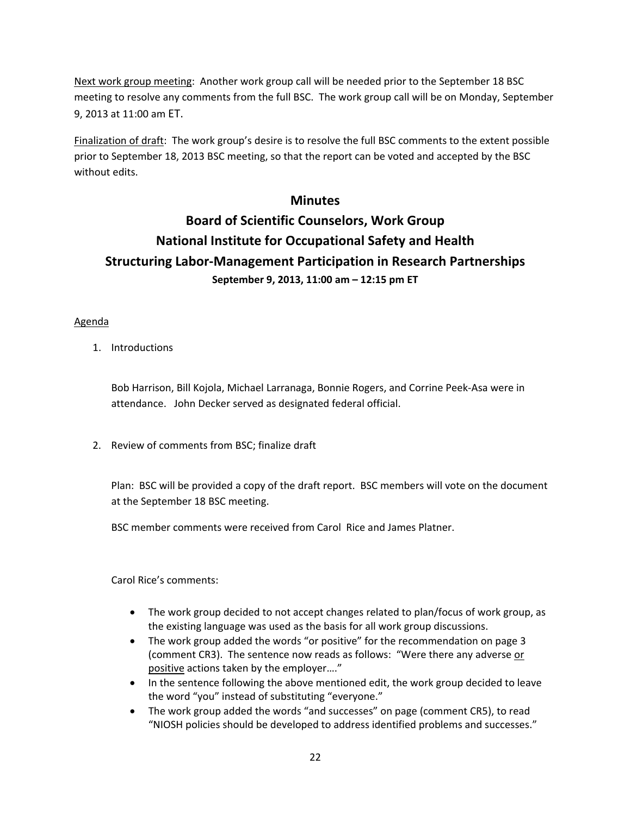Next work group meeting: Another work group call will be needed prior to the September 18 BSC meeting to resolve any comments from the full BSC. The work group call will be on Monday, September 9, 2013 at 11:00 am ET.

Finalization of draft: The work group's desire is to resolve the full BSC comments to the extent possible prior to September 18, 2013 BSC meeting, so that the report can be voted and accepted by the BSC without edits.

## **Minutes**

# **Board of Scientific Counselors, Work Group National Institute for Occupational Safety and Health Structuring Labor‐Management Participation in Research Partnerships September 9, 2013, 11:00 am – 12:15 pm ET**

#### Agenda

1. Introductions

 Bob Harrison, Bill Kojola, Michael Larranaga, Bonnie Rogers, and Corrine Peek‐Asa were in attendance. John Decker served as designated federal official.

2. Review of comments from BSC; finalize draft

 Plan: BSC will be provided a copy of the draft report. BSC members will vote on the document at the September 18 BSC meeting.

BSC member comments were received from Carol Rice and James Platner.

Carol Rice's comments:

- The work group decided to not accept changes related to plan/focus of work group, as the existing language was used as the basis for all work group discussions.
- The work group added the words "or positive" for the recommendation on page 3 (comment CR3). The sentence now reads as follows: "Were there any adverse or positive actions taken by the employer…."
- In the sentence following the above mentioned edit, the work group decided to leave the word "you" instead of substituting "everyone."
- The work group added the words "and successes" on page (comment CR5), to read "NIOSH policies should be developed to address identified problems and successes."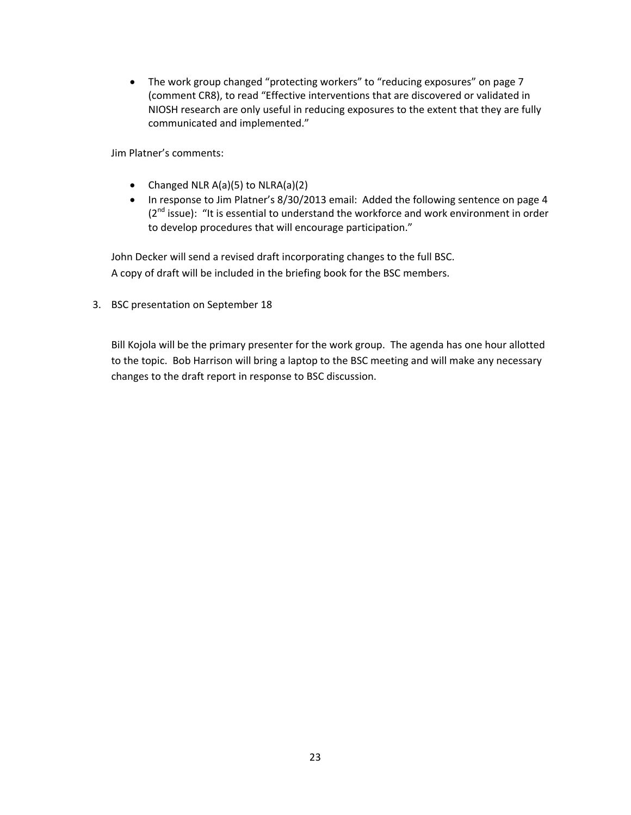• The work group changed "protecting workers" to "reducing exposures" on page 7 (comment CR8), to read "Effective interventions that are discovered or validated in NIOSH research are only useful in reducing exposures to the extent that they are fully communicated and implemented."

Jim Platner's comments:

- Changed NLR A(a)(5) to NLRA(a)(2)
- In response to Jim Platner's 8/30/2013 email: Added the following sentence on page 4  $(2^{nd}$  issue): "It is essential to understand the workforce and work environment in order to develop procedures that will encourage participation."

 John Decker will send a revised draft incorporating changes to the full BSC. A copy of draft will be included in the briefing book for the BSC members.

3. BSC presentation on September 18

 Bill Kojola will be the primary presenter for the work group. The agenda has one hour allotted to the topic. Bob Harrison will bring a laptop to the BSC meeting and will make any necessary changes to the draft report in response to BSC discussion.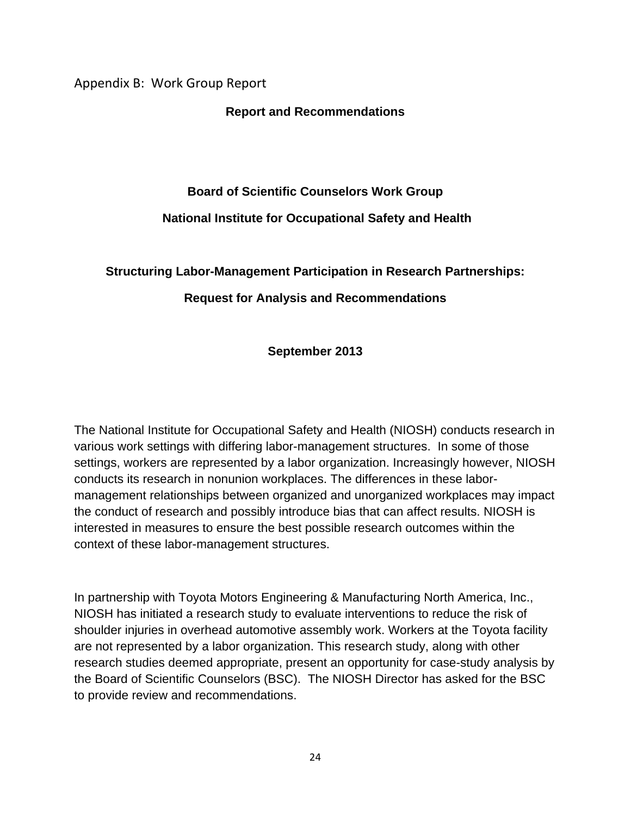Appendix B: Work Group Report

**Report and Recommendations** 

# **Board of Scientific Counselors Work Group National Institute for Occupational Safety and Health**

# **Structuring Labor-Management Participation in Research Partnerships:**

# **Request for Analysis and Recommendations**

**September 2013** 

The National Institute for Occupational Safety and Health (NIOSH) conducts research in various work settings with differing labor-management structures. In some of those settings, workers are represented by a labor organization. Increasingly however, NIOSH conducts its research in nonunion workplaces. The differences in these labormanagement relationships between organized and unorganized workplaces may impact the conduct of research and possibly introduce bias that can affect results. NIOSH is interested in measures to ensure the best possible research outcomes within the context of these labor-management structures.

In partnership with Toyota Motors Engineering & Manufacturing North America, Inc., NIOSH has initiated a research study to evaluate interventions to reduce the risk of shoulder injuries in overhead automotive assembly work. Workers at the Toyota facility are not represented by a labor organization. This research study, along with other research studies deemed appropriate, present an opportunity for case-study analysis by the Board of Scientific Counselors (BSC). The NIOSH Director has asked for the BSC to provide review and recommendations.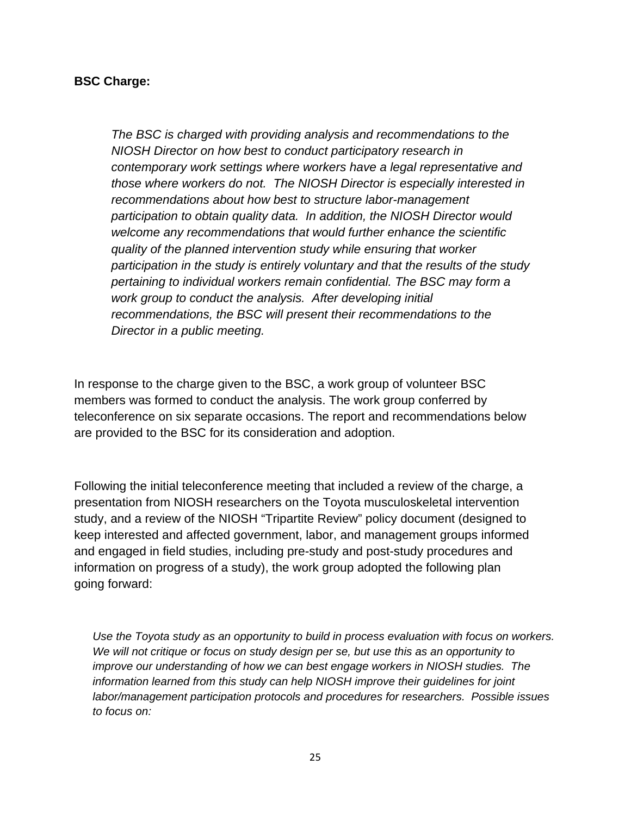#### **BSC Charge:**

*The BSC is charged with providing analysis and recommendations to the NIOSH Director on how best to conduct participatory research in contemporary work settings where workers have a legal representative and those where workers do not. The NIOSH Director is especially interested in recommendations about how best to structure labor-management participation to obtain quality data. In addition, the NIOSH Director would welcome any recommendations that would further enhance the scientific quality of the planned intervention study while ensuring that worker participation in the study is entirely voluntary and that the results of the study pertaining to individual workers remain confidential. The BSC may form a work group to conduct the analysis. After developing initial recommendations, the BSC will present their recommendations to the Director in a public meeting.* 

In response to the charge given to the BSC, a work group of volunteer BSC members was formed to conduct the analysis. The work group conferred by teleconference on six separate occasions. The report and recommendations below are provided to the BSC for its consideration and adoption.

Following the initial teleconference meeting that included a review of the charge, a presentation from NIOSH researchers on the Toyota musculoskeletal intervention study, and a review of the NIOSH "Tripartite Review" policy document (designed to keep interested and affected government, labor, and management groups informed and engaged in field studies, including pre-study and post-study procedures and information on progress of a study), the work group adopted the following plan going forward:

*Use the Toyota study as an opportunity to build in process evaluation with focus on workers. We will not critique or focus on study design per se, but use this as an opportunity to improve our understanding of how we can best engage workers in NIOSH studies. The information learned from this study can help NIOSH improve their guidelines for joint labor/management participation protocols and procedures for researchers. Possible issues to focus on:*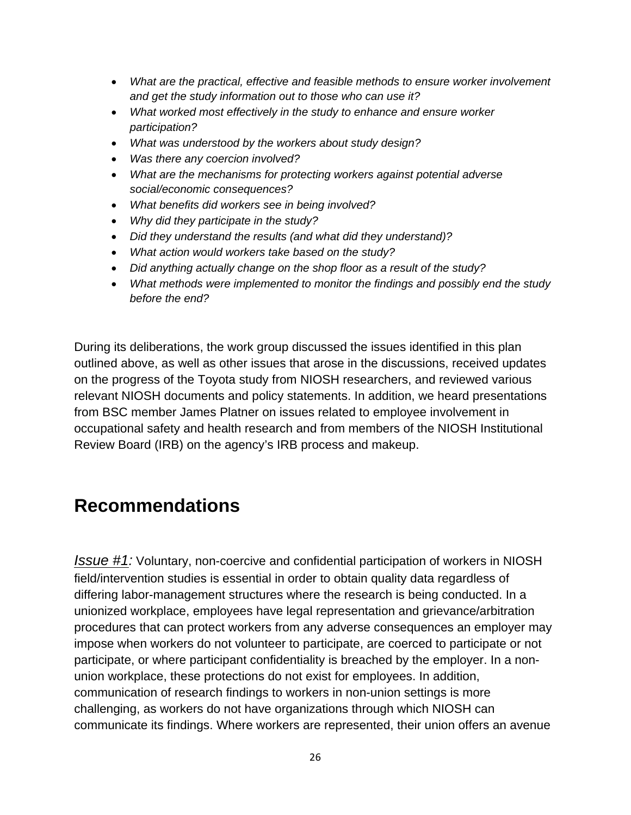- *What are the practical, effective and feasible methods to ensure worker involvement and get the study information out to those who can use it?*
- *What worked most effectively in the study to enhance and ensure worker participation?*
- *What was understood by the workers about study design?*
- *Was there any coercion involved?*
- *What are the mechanisms for protecting workers against potential adverse social/economic consequences?*
- *What benefits did workers see in being involved?*
- *Why did they participate in the study?*
- *Did they understand the results (and what did they understand)?*
- *What action would workers take based on the study?*
- *Did anything actually change on the shop floor as a result of the study?*
- *What methods were implemented to monitor the findings and possibly end the study before the end?*

During its deliberations, the work group discussed the issues identified in this plan outlined above, as well as other issues that arose in the discussions, received updates on the progress of the Toyota study from NIOSH researchers, and reviewed various relevant NIOSH documents and policy statements. In addition, we heard presentations from BSC member James Platner on issues related to employee involvement in occupational safety and health research and from members of the NIOSH Institutional Review Board (IRB) on the agency's IRB process and makeup.

# **Recommendations**

*Issue #1:* Voluntary, non-coercive and confidential participation of workers in NIOSH field/intervention studies is essential in order to obtain quality data regardless of differing labor-management structures where the research is being conducted. In a unionized workplace, employees have legal representation and grievance/arbitration procedures that can protect workers from any adverse consequences an employer may impose when workers do not volunteer to participate, are coerced to participate or not participate, or where participant confidentiality is breached by the employer. In a nonunion workplace, these protections do not exist for employees. In addition, communication of research findings to workers in non-union settings is more challenging, as workers do not have organizations through which NIOSH can communicate its findings. Where workers are represented, their union offers an avenue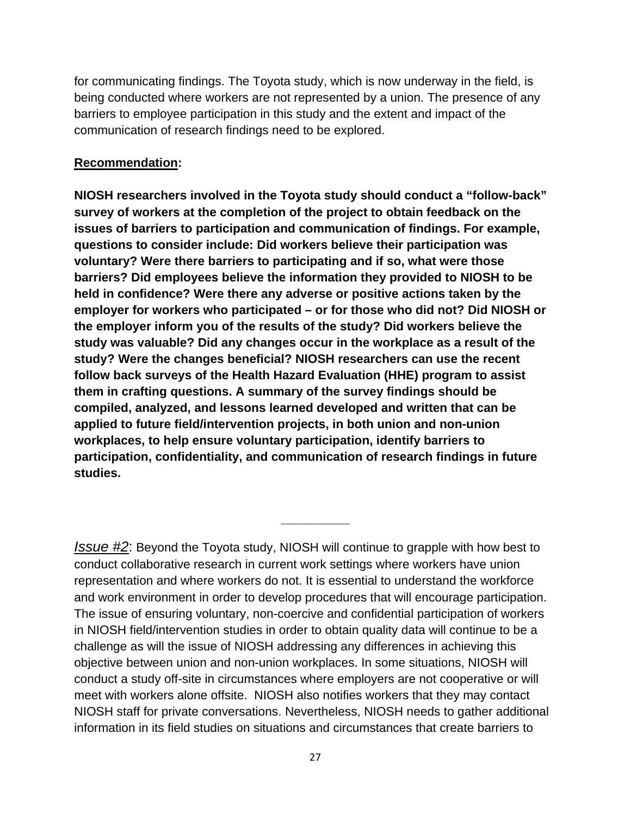for communicating findings. The Toyota study, which is now underway in the field, is being conducted where workers are not represented by a union. The presence of any barriers to employee participation in this study and the extent and impact of the communication of research findings need to be explored.

# **Recommendation:**

**NIOSH researchers involved in the Toyota study should conduct a "follow-back" survey of workers at the completion of the project to obtain feedback on the issues of barriers to participation and communication of findings. For example, questions to consider include: Did workers believe their participation was voluntary? Were there barriers to participating and if so, what were those barriers? Did employees believe the information they provided to NIOSH to be held in confidence? Were there any adverse or positive actions taken by the employer for workers who participated – or for those who did not? Did NIOSH or the employer inform you of the results of the study? Did workers believe the study was valuable? Did any changes occur in the workplace as a result of the study? Were the changes beneficial? NIOSH researchers can use the recent follow back surveys of the Health Hazard Evaluation (HHE) program to assist them in crafting questions. A summary of the survey findings should be compiled, analyzed, and lessons learned developed and written that can be applied to future field/intervention projects, in both union and non-union workplaces, to help ensure voluntary participation, identify barriers to participation, confidentiality, and communication of research findings in future studies.** 

*Issue #2*: Beyond the Toyota study, NIOSH will continue to grapple with how best to conduct collaborative research in current work settings where workers have union representation and where workers do not. It is essential to understand the workforce and work environment in order to develop procedures that will encourage participation. The issue of ensuring voluntary, non-coercive and confidential participation of workers in NIOSH field/intervention studies in order to obtain quality data will continue to be a challenge as will the issue of NIOSH addressing any differences in achieving this objective between union and non-union workplaces. In some situations, NIOSH will conduct a study off-site in circumstances where employers are not cooperative or will meet with workers alone offsite. NIOSH also notifies workers that they may contact NIOSH staff for private conversations. Nevertheless, NIOSH needs to gather additional information in its field studies on situations and circumstances that create barriers to

**\_\_\_\_\_\_\_\_\_\_**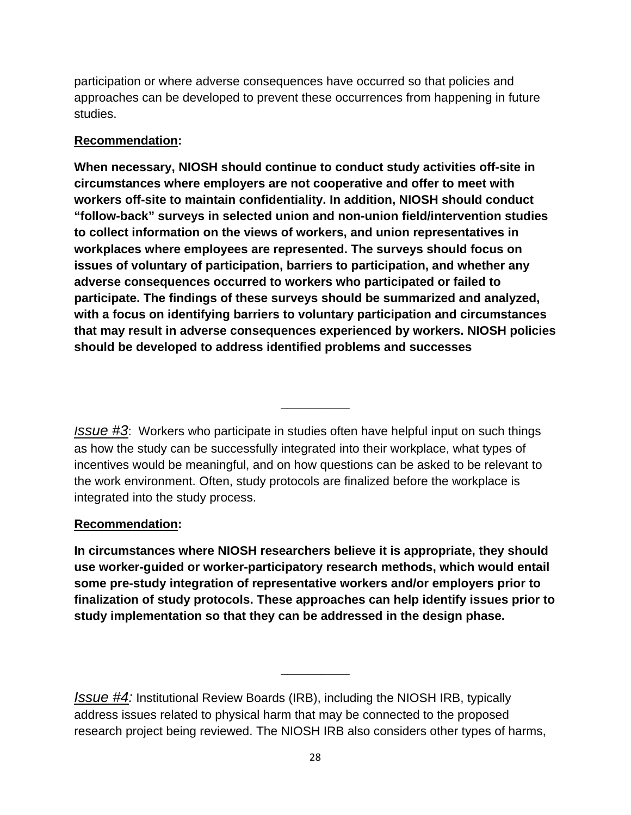participation or where adverse consequences have occurred so that policies and approaches can be developed to prevent these occurrences from happening in future studies.

# **Recommendation:**

**When necessary, NIOSH should continue to conduct study activities off-site in circumstances where employers are not cooperative and offer to meet with workers off-site to maintain confidentiality. In addition, NIOSH should conduct "follow-back" surveys in selected union and non-union field/intervention studies to collect information on the views of workers, and union representatives in workplaces where employees are represented. The surveys should focus on issues of voluntary of participation, barriers to participation, and whether any adverse consequences occurred to workers who participated or failed to participate. The findings of these surveys should be summarized and analyzed, with a focus on identifying barriers to voluntary participation and circumstances that may result in adverse consequences experienced by workers. NIOSH policies should be developed to address identified problems and successes** 

*Issue #3*: Workers who participate in studies often have helpful input on such things as how the study can be successfully integrated into their workplace, what types of incentives would be meaningful, and on how questions can be asked to be relevant to the work environment. Often, study protocols are finalized before the workplace is integrated into the study process.

**\_\_\_\_\_\_\_\_\_\_** 

# **Recommendation:**

In circumstances where NIOSH researchers believe it is appropriate, they should **use worker-guided or worker-participatory research methods, which would entail some pre-study integration of representative workers and/or employers prior to finalization of study protocols. These approaches can help identify issues prior to study implementation so that they can be addressed in the design phase.** 

*Issue #4:* Institutional Review Boards (IRB), including the NIOSH IRB, typically address issues related to physical harm that may be connected to the proposed research project being reviewed. The NIOSH IRB also considers other types of harms,

**\_\_\_\_\_\_\_\_\_\_**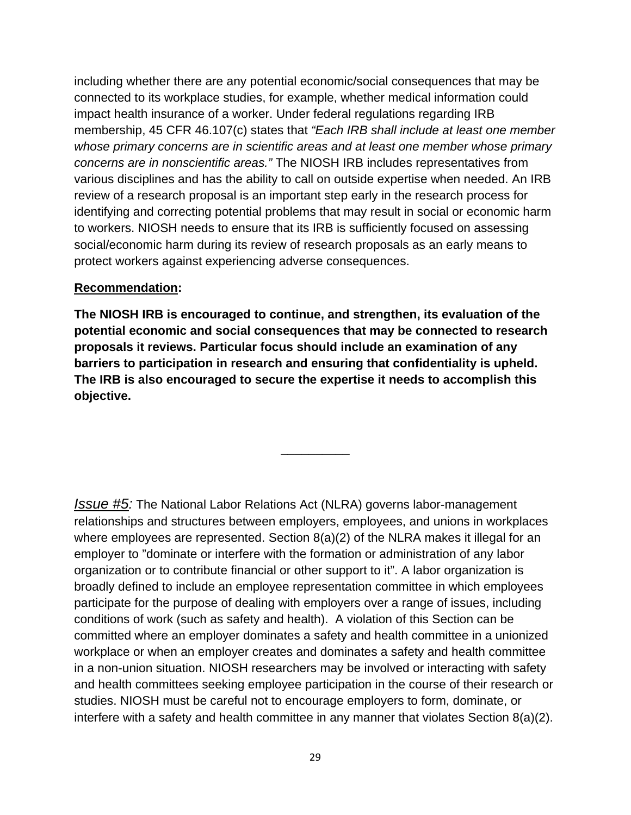including whether there are any potential economic/social consequences that may be connected to its workplace studies, for example, whether medical information could impact health insurance of a worker. Under federal regulations regarding IRB membership, 45 CFR 46.107(c) states that *"Each IRB shall include at least one member whose primary concerns are in scientific areas and at least one member whose primary concerns are in nonscientific areas."* The NIOSH IRB includes representatives from various disciplines and has the ability to call on outside expertise when needed. An IRB review of a research proposal is an important step early in the research process for identifying and correcting potential problems that may result in social or economic harm to workers. NIOSH needs to ensure that its IRB is sufficiently focused on assessing social/economic harm during its review of research proposals as an early means to protect workers against experiencing adverse consequences.

# **Recommendation:**

**The NIOSH IRB is encouraged to continue, and strengthen, its evaluation of the potential economic and social consequences that may be connected to research proposals it reviews. Particular focus should include an examination of any barriers to participation in research and ensuring that confidentiality is upheld. The IRB is also encouraged to secure the expertise it needs to accomplish this objective.** 

**\_\_\_\_\_\_\_\_\_\_** 

*Issue #5:* The National Labor Relations Act (NLRA) governs labor-management relationships and structures between employers, employees, and unions in workplaces where employees are represented. Section 8(a)(2) of the NLRA makes it illegal for an employer to "dominate or interfere with the formation or administration of any labor organization or to contribute financial or other support to it". A labor organization is broadly defined to include an employee representation committee in which employees participate for the purpose of dealing with employers over a range of issues, including conditions of work (such as safety and health). A violation of this Section can be committed where an employer dominates a safety and health committee in a unionized workplace or when an employer creates and dominates a safety and health committee in a non-union situation. NIOSH researchers may be involved or interacting with safety and health committees seeking employee participation in the course of their research or studies. NIOSH must be careful not to encourage employers to form, dominate, or interfere with a safety and health committee in any manner that violates Section 8(a)(2).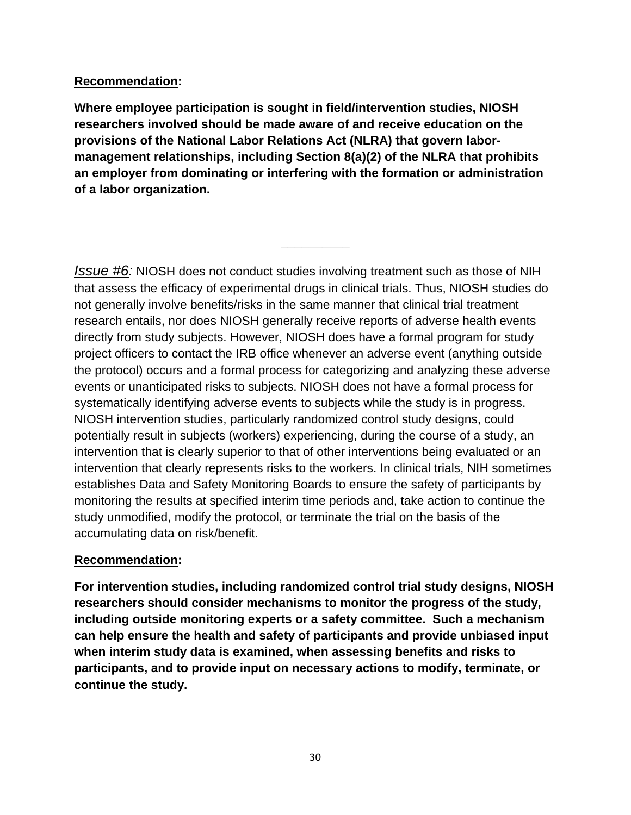# **Recommendation:**

**Where employee participation is sought in field/intervention studies, NIOSH researchers involved should be made aware of and receive education on the provisions of the National Labor Relations Act (NLRA) that govern labormanagement relationships, including Section 8(a)(2) of the NLRA that prohibits an employer from dominating or interfering with the formation or administration of a labor organization.** 

**\_\_\_\_\_\_\_\_\_\_** 

*Issue #6:* NIOSH does not conduct studies involving treatment such as those of NIH that assess the efficacy of experimental drugs in clinical trials. Thus, NIOSH studies do not generally involve benefits/risks in the same manner that clinical trial treatment research entails, nor does NIOSH generally receive reports of adverse health events directly from study subjects. However, NIOSH does have a formal program for study project officers to contact the IRB office whenever an adverse event (anything outside the protocol) occurs and a formal process for categorizing and analyzing these adverse events or unanticipated risks to subjects. NIOSH does not have a formal process for systematically identifying adverse events to subjects while the study is in progress. NIOSH intervention studies, particularly randomized control study designs, could potentially result in subjects (workers) experiencing, during the course of a study, an intervention that is clearly superior to that of other interventions being evaluated or an intervention that clearly represents risks to the workers. In clinical trials, NIH sometimes establishes Data and Safety Monitoring Boards to ensure the safety of participants by monitoring the results at specified interim time periods and, take action to continue the study unmodified, modify the protocol, or terminate the trial on the basis of the accumulating data on risk/benefit.

# **Recommendation:**

 **continue the study. For intervention studies, including randomized control trial study designs, NIOSH researchers should consider mechanisms to monitor the progress of the study, including outside monitoring experts or a safety committee. Such a mechanism can help ensure the health and safety of participants and provide unbiased input when interim study data is examined, when assessing benefits and risks to participants, and to provide input on necessary actions to modify, terminate, or**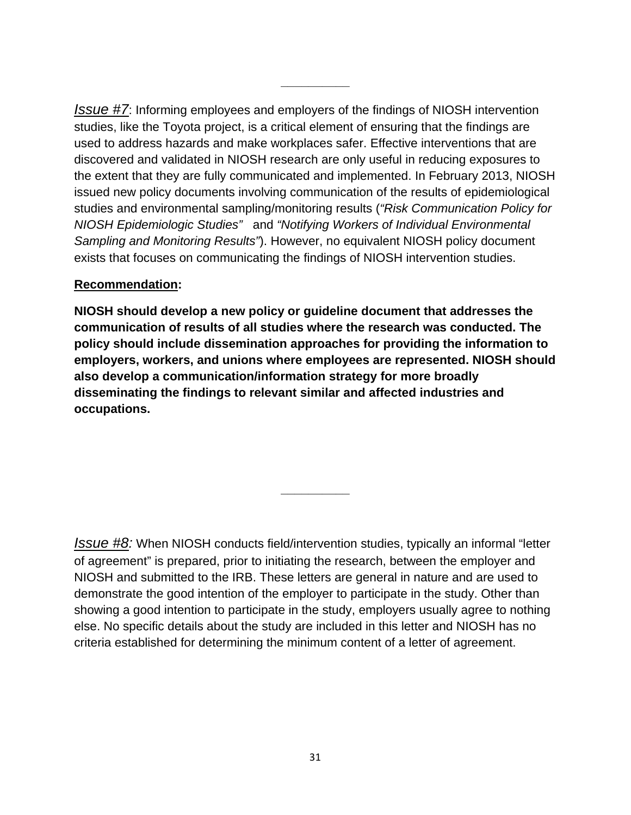*Issue #7*: Informing employees and employers of the findings of NIOSH intervention studies, like the Toyota project, is a critical element of ensuring that the findings are used to address hazards and make workplaces safer. Effective interventions that are discovered and validated in NIOSH research are only useful in reducing exposures to the extent that they are fully communicated and implemented. In February 2013, NIOSH issued new policy documents involving communication of the results of epidemiological studies and environmental sampling/monitoring results (*"Risk Communication Policy for NIOSH Epidemiologic Studies"* and *"Notifying Workers of Individual Environmental Sampling and Monitoring Results"*). However, no equivalent NIOSH policy document exists that focuses on communicating the findings of NIOSH intervention studies.

**\_\_\_\_\_\_\_\_\_\_** 

# **Recommendation:**

**NIOSH should develop a new policy or guideline document that addresses the communication of results of all studies where the research was conducted. The policy should include dissemination approaches for providing the information to employers, workers, and unions where employees are represented. NIOSH should also develop a communication/information strategy for more broadly disseminating the findings to relevant similar and affected industries and occupations.** 

*Issue #8:* When NIOSH conducts field/intervention studies, typically an informal "letter of agreement" is prepared, prior to initiating the research, between the employer and NIOSH and submitted to the IRB. These letters are general in nature and are used to demonstrate the good intention of the employer to participate in the study. Other than showing a good intention to participate in the study, employers usually agree to nothing else. No specific details about the study are included in this letter and NIOSH has no criteria established for determining the minimum content of a letter of agreement.

**\_\_\_\_\_\_\_\_\_\_**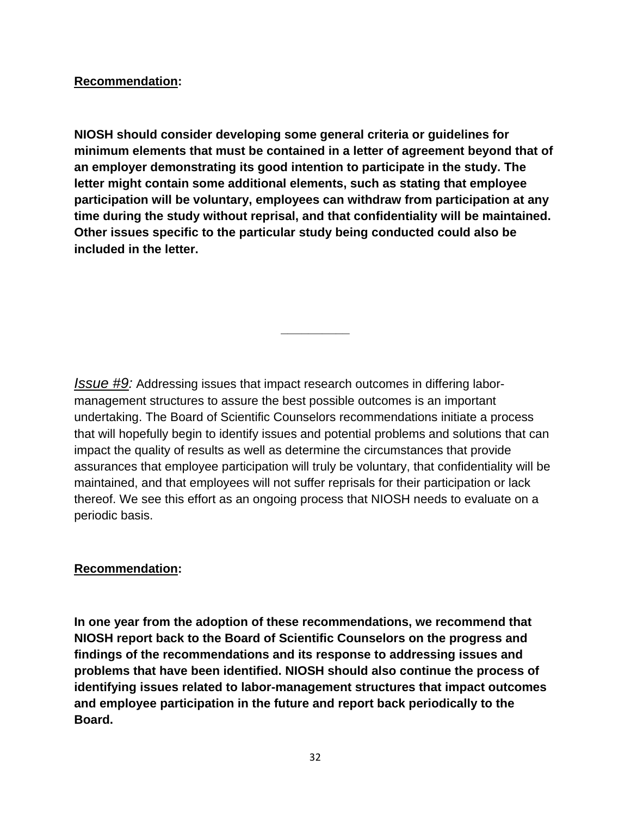# **Recommendation:**

**NIOSH should consider developing some general criteria or guidelines for minimum elements that must be contained in a letter of agreement beyond that of an employer demonstrating its good intention to participate in the study. The letter might contain some additional elements, such as stating that employee participation will be voluntary, employees can withdraw from participation at any time during the study without reprisal, and that confidentiality will be maintained. Other issues specific to the particular study being conducted could also be included in the letter.** 

*Issue #9:* Addressing issues that impact research outcomes in differing labormanagement structures to assure the best possible outcomes is an important undertaking. The Board of Scientific Counselors recommendations initiate a process that will hopefully begin to identify issues and potential problems and solutions that can impact the quality of results as well as determine the circumstances that provide assurances that employee participation will truly be voluntary, that confidentiality will be maintained, and that employees will not suffer reprisals for their participation or lack thereof. We see this effort as an ongoing process that NIOSH needs to evaluate on a periodic basis.

**\_\_\_\_\_\_\_\_\_\_** 

# **Recommendation:**

**In one year from the adoption of these recommendations, we recommend that NIOSH report back to the Board of Scientific Counselors on the progress and findings of the recommendations and its response to addressing issues and problems that have been identified. NIOSH should also continue the process of identifying issues related to labor-management structures that impact outcomes and employee participation in the future and report back periodically to the Board.**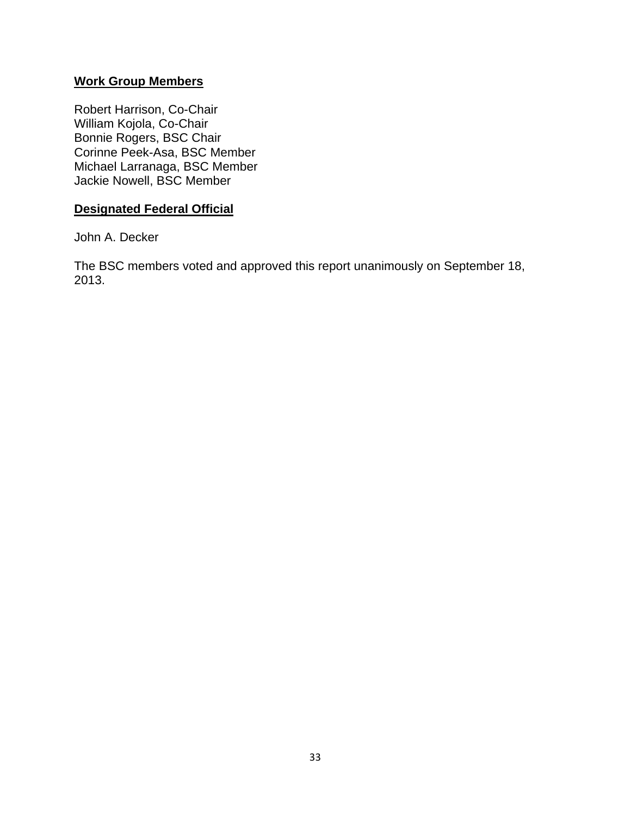# **Work Group Members**

Robert Harrison, Co-Chair William Kojola, Co-Chair Bonnie Rogers, BSC Chair Corinne Peek-Asa, BSC Member Michael Larranaga, BSC Member Jackie Nowell, BSC Member

## **Designated Federal Official**

John A. Decker

The BSC members voted and approved this report unanimously on September 18, 2013.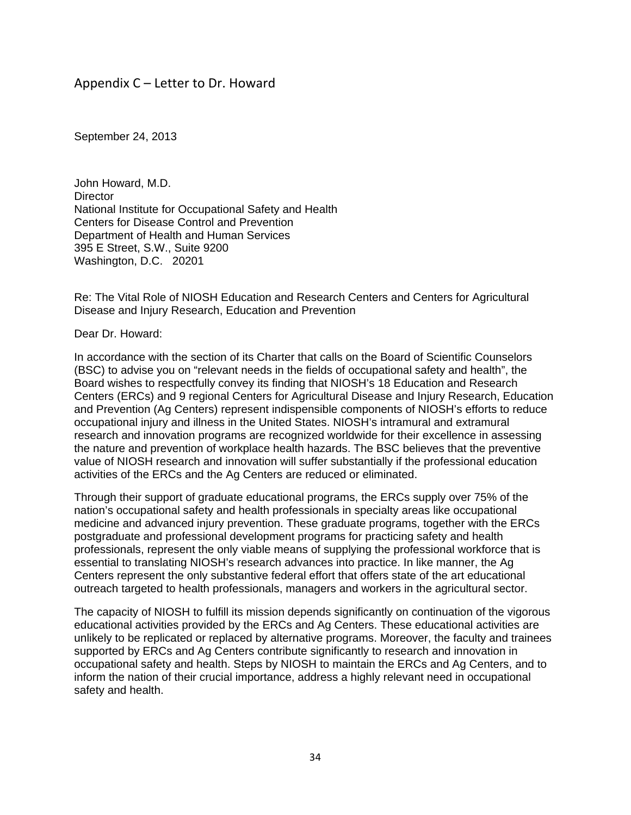## Appendix  $C$  – Letter to Dr. Howard

September 24, 2013

John Howard, M.D. **Director** National Institute for Occupational Safety and Health Centers for Disease Control and Prevention Department of Health and Human Services 395 E Street, S.W., Suite 9200 Washington, D.C. 20201

Re: The Vital Role of NIOSH Education and Research Centers and Centers for Agricultural Disease and Injury Research, Education and Prevention

Dear Dr. Howard:

In accordance with the section of its Charter that calls on the Board of Scientific Counselors (BSC) to advise you on "relevant needs in the fields of occupational safety and health", the Board wishes to respectfully convey its finding that NIOSH's 18 Education and Research Centers (ERCs) and 9 regional Centers for Agricultural Disease and Injury Research, Education and Prevention (Ag Centers) represent indispensible components of NIOSH's efforts to reduce occupational injury and illness in the United States. NIOSH's intramural and extramural research and innovation programs are recognized worldwide for their excellence in assessing the nature and prevention of workplace health hazards. The BSC believes that the preventive value of NIOSH research and innovation will suffer substantially if the professional education activities of the ERCs and the Ag Centers are reduced or eliminated.

Through their support of graduate educational programs, the ERCs supply over 75% of the nation's occupational safety and health professionals in specialty areas like occupational medicine and advanced injury prevention. These graduate programs, together with the ERCs postgraduate and professional development programs for practicing safety and health professionals, represent the only viable means of supplying the professional workforce that is essential to translating NIOSH's research advances into practice. In like manner, the Ag Centers represent the only substantive federal effort that offers state of the art educational outreach targeted to health professionals, managers and workers in the agricultural sector.

The capacity of NIOSH to fulfill its mission depends significantly on continuation of the vigorous educational activities provided by the ERCs and Ag Centers. These educational activities are unlikely to be replicated or replaced by alternative programs. Moreover, the faculty and trainees supported by ERCs and Ag Centers contribute significantly to research and innovation in occupational safety and health. Steps by NIOSH to maintain the ERCs and Ag Centers, and to inform the nation of their crucial importance, address a highly relevant need in occupational safety and health.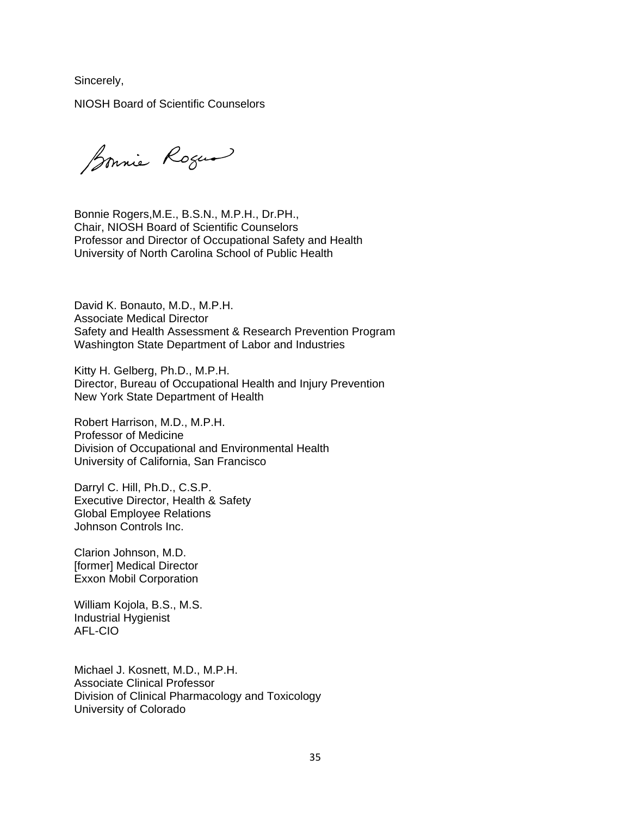Sincerely,

NIOSH Board of Scientific Counselors

Bonnie Roger

Bonnie Rogers,M.E., B.S.N., M.P.H., Dr.PH., Chair, NIOSH Board of Scientific Counselors Professor and Director of Occupational Safety and Health University of North Carolina School of Public Health

David K. Bonauto, M.D., M.P.H. Associate Medical Director Safety and Health Assessment & Research Prevention Program Washington State Department of Labor and Industries

Kitty H. Gelberg, Ph.D., M.P.H. Director, Bureau of Occupational Health and Injury Prevention New York State Department of Health

Robert Harrison, M.D., M.P.H. Professor of Medicine Division of Occupational and Environmental Health University of California, San Francisco

Darryl C. Hill, Ph.D., C.S.P. Executive Director, Health & Safety Global Employee Relations Johnson Controls Inc.

Clarion Johnson, M.D. [former] Medical Director Exxon Mobil Corporation

William Kojola, B.S., M.S. Industrial Hygienist AFL-CIO

Michael J. Kosnett, M.D., M.P.H. Associate Clinical Professor Division of Clinical Pharmacology and Toxicology University of Colorado